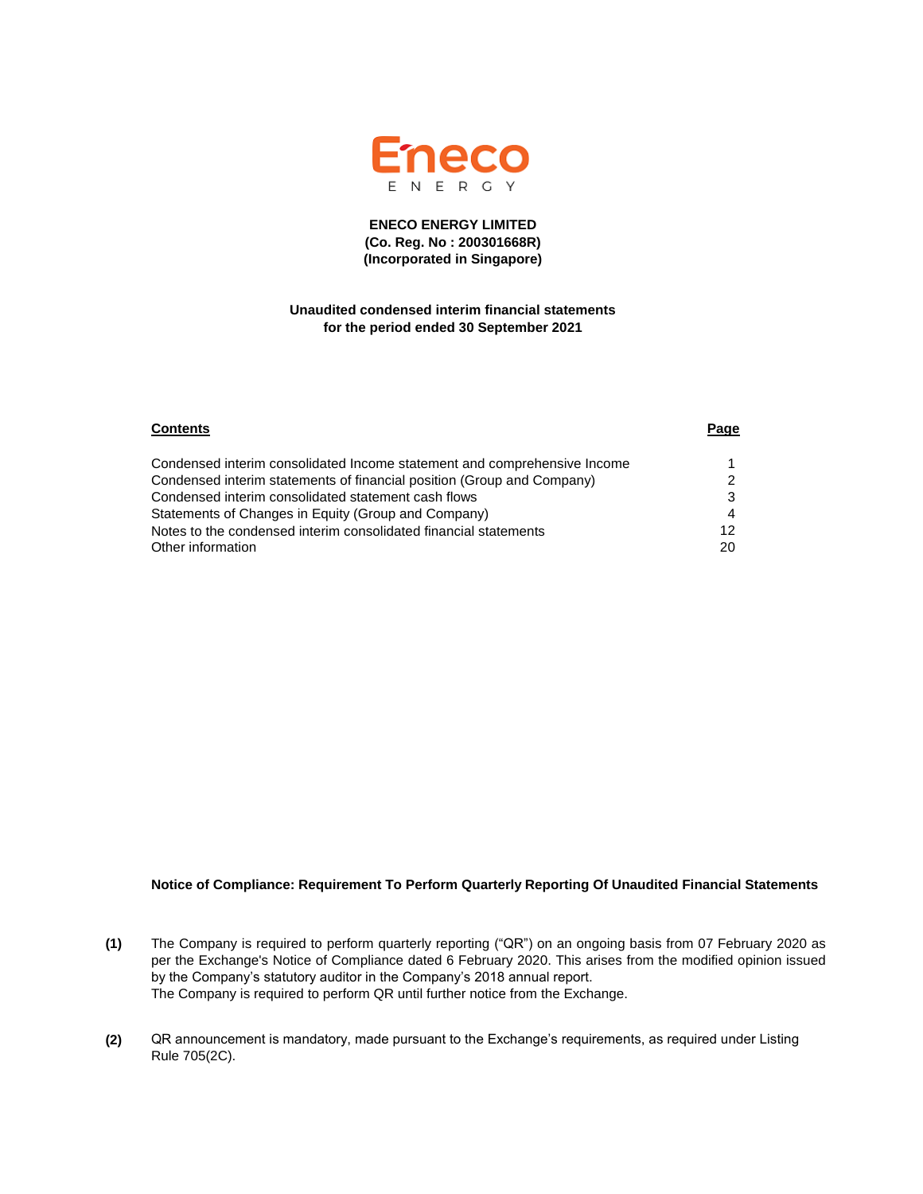

### **ENECO ENERGY LIMITED (Co. Reg. No : 200301668R) (Incorporated in Singapore)**

### **Unaudited condensed interim financial statements for the period ended 30 September 2021**

| <b>Contents</b>                                                          | Page |
|--------------------------------------------------------------------------|------|
| Condensed interim consolidated Income statement and comprehensive Income |      |
| Condensed interim statements of financial position (Group and Company)   |      |
| Condensed interim consolidated statement cash flows                      | 3    |
| Statements of Changes in Equity (Group and Company)                      |      |
| Notes to the condensed interim consolidated financial statements         | 12   |
| Other information                                                        | 20   |

### **Notice of Compliance: Requirement To Perform Quarterly Reporting Of Unaudited Financial Statements**

- **(1)** The Company is required to perform quarterly reporting ("QR") on an ongoing basis from 07 February 2020 as per the Exchange's Notice of Compliance dated 6 February 2020. This arises from the modified opinion issued by the Company's statutory auditor in the Company's 2018 annual report. The Company is required to perform QR until further notice from the Exchange.
- **(2)** QR announcement is mandatory, made pursuant to the Exchange's requirements, as required under Listing Rule 705(2C).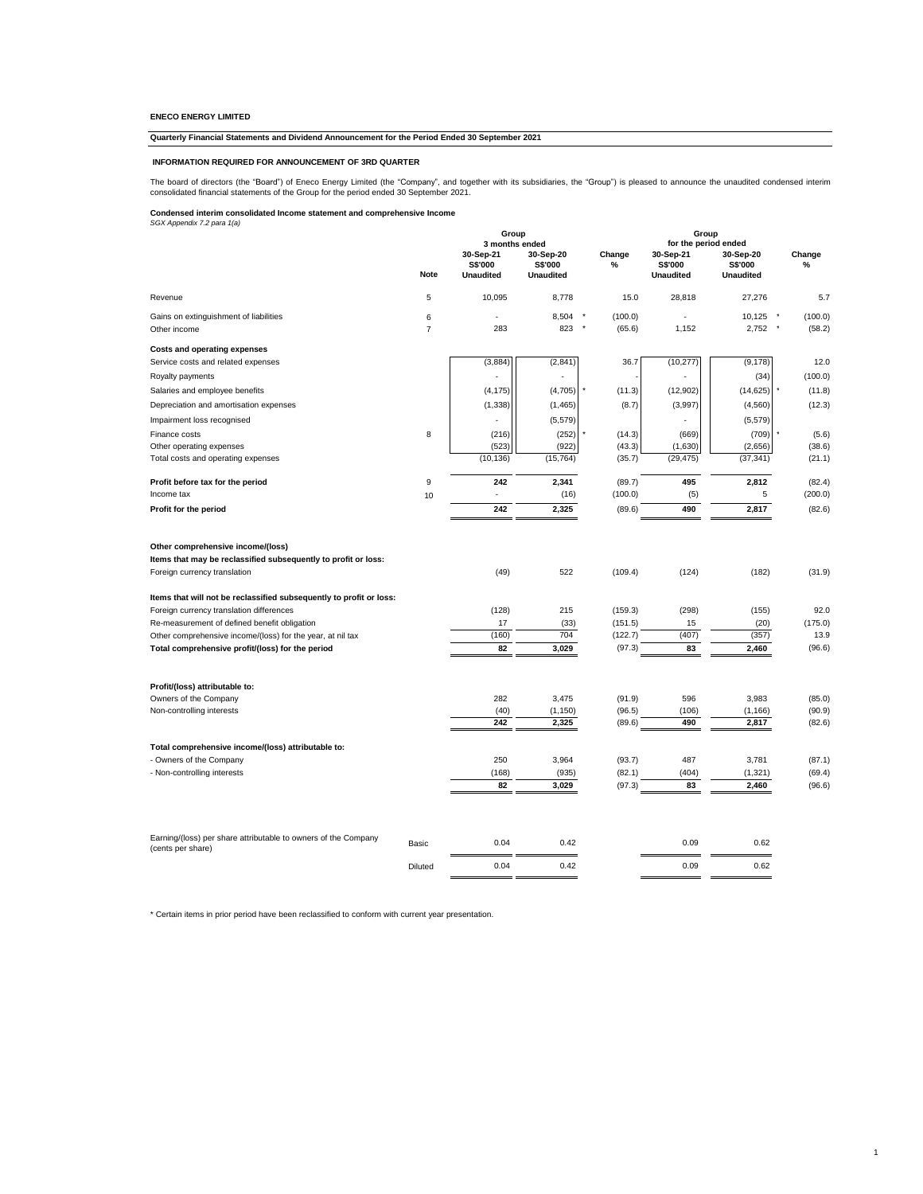### **Quarterly Financial Statements and Dividend Announcement for the Period Ended 30 September 2021**

#### **INFORMATION REQUIRED FOR ANNOUNCEMENT OF 3RD QUARTER**

The board of directors (the "Board") of Eneco Energy Limited (the "Company", and together with its subsidiaries, the "Group") is pleased to announce the unaudited condensed interim<br>consolidated financial statements of the

## **Condensed interim consolidated Income statement and comprehensive Income** *SGX Appendix 7.2 para 1(a)*

|                                                                                                                                     |                     | Group<br>3 months ended                         |                                                 |                   | Group<br>for the period ended                   |                                                 |                   |
|-------------------------------------------------------------------------------------------------------------------------------------|---------------------|-------------------------------------------------|-------------------------------------------------|-------------------|-------------------------------------------------|-------------------------------------------------|-------------------|
|                                                                                                                                     | Note                | 30-Sep-21<br><b>S\$'000</b><br><b>Unaudited</b> | 30-Sep-20<br><b>S\$'000</b><br><b>Unaudited</b> | Change<br>%       | 30-Sep-21<br><b>S\$'000</b><br><b>Unaudited</b> | 30-Sep-20<br><b>S\$'000</b><br><b>Unaudited</b> | Change<br>$\%$    |
| Revenue                                                                                                                             | 5                   | 10,095                                          | 8,778                                           | 15.0              | 28,818                                          | 27,276                                          | 5.7               |
| Gains on extinguishment of liabilities<br>Other income                                                                              | 6<br>$\overline{7}$ | 283                                             | 8,504<br>823                                    | (100.0)<br>(65.6) | 1,152                                           | 10,125<br>2,752                                 | (100.0)<br>(58.2) |
| <b>Costs and operating expenses</b><br>Service costs and related expenses                                                           |                     | (3,884)                                         | (2,841)                                         | 36.7              | (10, 277)                                       | (9, 178)                                        | 12.0              |
| Royalty payments                                                                                                                    |                     |                                                 |                                                 |                   |                                                 | (34)                                            | (100.0)           |
| Salaries and employee benefits                                                                                                      |                     | (4, 175)                                        | (4,705)                                         | (11.3)            | (12, 902)                                       | (14, 625)                                       | (11.8)            |
| Depreciation and amortisation expenses                                                                                              |                     | (1, 338)                                        | (1, 465)                                        | (8.7)             | (3,997)                                         | (4, 560)                                        | (12.3)            |
| Impairment loss recognised                                                                                                          |                     |                                                 | (5, 579)                                        |                   |                                                 | (5, 579)                                        |                   |
| Finance costs                                                                                                                       | 8                   | (216)<br>(523)                                  | (252)<br>(922)                                  | (14.3)<br>(43.3)  | (669)<br>(1,630)                                | (709)<br>(2,656)                                | (5.6)<br>(38.6)   |
| Other operating expenses<br>Total costs and operating expenses                                                                      |                     | (10, 136)                                       | (15, 764)                                       | (35.7)            | (29, 475)                                       | (37, 341)                                       | (21.1)            |
|                                                                                                                                     |                     |                                                 |                                                 |                   |                                                 |                                                 |                   |
| Profit before tax for the period                                                                                                    | 9                   | 242                                             | 2,341                                           | (89.7)            | 495                                             | 2,812                                           | (82.4)            |
| Income tax                                                                                                                          | 10                  |                                                 | (16)                                            | (100.0)           | (5)                                             | 5                                               | (200.0)           |
| Profit for the period                                                                                                               |                     | 242                                             | 2,325                                           | (89.6)            | 490                                             | 2,817                                           | (82.6)            |
| Other comprehensive income/(loss)<br>Items that may be reclassified subsequently to profit or loss:<br>Foreign currency translation |                     | (49)                                            | 522                                             | (109.4)           | (124)                                           | (182)                                           | (31.9)            |
|                                                                                                                                     |                     |                                                 |                                                 |                   |                                                 |                                                 |                   |
| Items that will not be reclassified subsequently to profit or loss:<br>Foreign currency translation differences                     |                     | (128)                                           | 215                                             | (159.3)           | (298)                                           | (155)                                           | 92.0              |
| Re-measurement of defined benefit obligation                                                                                        |                     | 17                                              | (33)                                            | (151.5)           | 15                                              | (20)                                            | (175.0)           |
| Other comprehensive income/(loss) for the year, at nil tax                                                                          |                     | (160)                                           | 704                                             | (122.7)           | (407)                                           | (357)                                           | 13.9              |
| Total comprehensive profit/(loss) for the period                                                                                    |                     | 82                                              | 3,029                                           | (97.3)            | 83                                              | 2,460                                           | (96.6)            |
| Profit/(loss) attributable to:                                                                                                      |                     |                                                 |                                                 |                   |                                                 |                                                 |                   |
| Owners of the Company                                                                                                               |                     | 282                                             | 3,475                                           | (91.9)            | 596                                             | 3,983                                           | (85.0)            |
| Non-controlling interests                                                                                                           |                     | (40)                                            | (1, 150)                                        | (96.5)            | (106)                                           | (1, 166)                                        | (90.9)            |
|                                                                                                                                     |                     | 242                                             | 2,325                                           | (89.6)            | 490                                             | 2,817                                           | (82.6)            |
| Total comprehensive income/(loss) attributable to:                                                                                  |                     |                                                 |                                                 |                   |                                                 |                                                 |                   |
| - Owners of the Company                                                                                                             |                     | 250                                             | 3,964                                           | (93.7)            | 487                                             | 3,781                                           | (87.1)            |
| - Non-controlling interests                                                                                                         |                     | (168)<br>82                                     | (935)<br>3,029                                  | (82.1)<br>(97.3)  | (404)<br>83                                     | (1, 321)<br>2,460                               | (69.4)<br>(96.6)  |
|                                                                                                                                     |                     |                                                 |                                                 |                   |                                                 |                                                 |                   |
| Earning/(loss) per share attributable to owners of the Company                                                                      | Basic               | 0.04                                            | 0.42                                            |                   | 0.09                                            | 0.62                                            |                   |
| (cents per share)                                                                                                                   | Diluted             | 0.04                                            | 0.42                                            |                   | 0.09                                            | 0.62                                            |                   |
|                                                                                                                                     |                     |                                                 |                                                 |                   |                                                 |                                                 |                   |

1

\* Certain items in prior period have been reclassified to conform with current year presentation.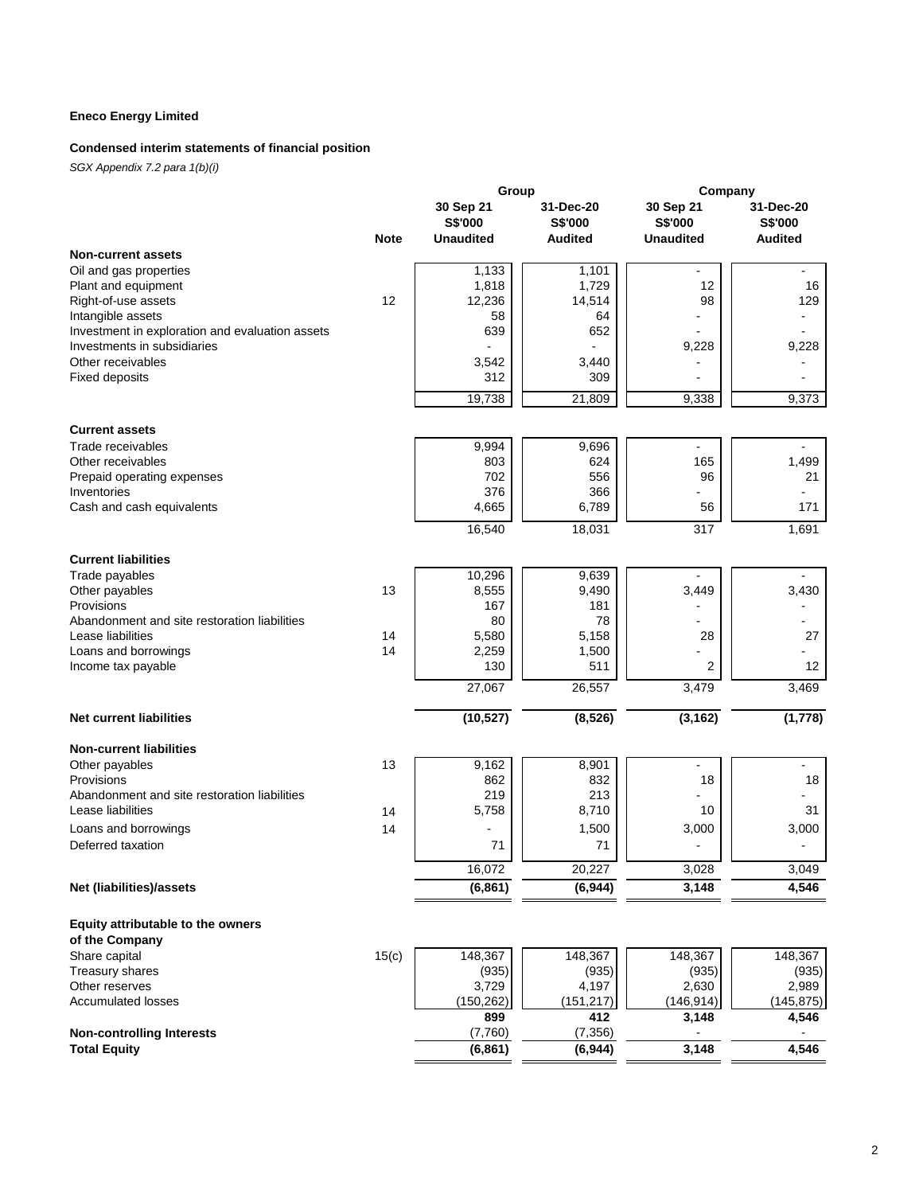## **Condensed interim statements of financial position**

|                                                 |             | Group            |                 | Company          |                |
|-------------------------------------------------|-------------|------------------|-----------------|------------------|----------------|
|                                                 |             | 30 Sep 21        | 31-Dec-20       | 30 Sep 21        | 31-Dec-20      |
|                                                 |             | S\$'000          | S\$'000         | S\$'000          | S\$'000        |
|                                                 | <b>Note</b> | <b>Unaudited</b> | <b>Audited</b>  | <b>Unaudited</b> | <b>Audited</b> |
| <b>Non-current assets</b>                       |             |                  |                 |                  |                |
| Oil and gas properties                          |             | 1,133            | 1,101           |                  | ä,             |
| Plant and equipment                             |             | 1,818            | 1,729           | 12               | 16             |
| Right-of-use assets                             | 12          | 12,236           | 14,514          | 98               | 129            |
| Intangible assets                               |             | 58               | 64              |                  |                |
| Investment in exploration and evaluation assets |             | 639              | 652             |                  |                |
| Investments in subsidiaries                     |             |                  |                 | 9,228            | 9,228          |
| Other receivables                               |             | 3,542            | 3,440           |                  |                |
| <b>Fixed deposits</b>                           |             | 312              | 309             |                  |                |
|                                                 |             | 19,738           | 21,809          | 9,338            | 9,373          |
| <b>Current assets</b>                           |             |                  |                 |                  |                |
| Trade receivables                               |             | 9,994            | 9,696           | $\blacksquare$   |                |
| Other receivables                               |             | 803              | 624             | 165              | 1,499          |
| Prepaid operating expenses                      |             | 702              | 556             | 96               | 21             |
| Inventories                                     |             | 376              | 366             |                  | ä,             |
| Cash and cash equivalents                       |             | 4,665            | 6,789           | 56               | 171            |
|                                                 |             | 16,540           | 18,031          | $\overline{317}$ | 1,691          |
| <b>Current liabilities</b>                      |             |                  |                 |                  |                |
| Trade payables                                  |             | 10,296           | 9,639           |                  | ä,             |
| Other payables                                  | 13          | 8,555            | 9,490           | 3,449            | 3,430          |
| Provisions                                      |             | 167              | 181             |                  |                |
| Abandonment and site restoration liabilities    |             | 80               | 78              |                  |                |
| Lease liabilities                               | 14          | 5,580            | 5,158           | 28               | 27             |
| Loans and borrowings                            | 14          | 2,259            | 1,500           |                  |                |
| Income tax payable                              |             | 130              | 511             | 2                | 12             |
|                                                 |             | 27,067           | 26,557          | 3,479            | 3,469          |
| <b>Net current liabilities</b>                  |             | (10, 527)        | (8, 526)        | (3, 162)         | (1, 778)       |
| <b>Non-current liabilities</b>                  |             |                  |                 |                  |                |
| Other payables                                  | 13          | 9,162            | 8,901           | $\overline{a}$   | ä,             |
| Provisions                                      |             | 862              | 832             | 18               | 18             |
| Abandonment and site restoration liabilities    |             | 219              | 213             |                  |                |
| Lease liabilities                               | 14          | 5,758            | 8,710           | 10               | 31             |
| Loans and borrowings                            | 14          |                  | 1,500           | 3,000            | 3,000          |
| Deferred taxation                               |             | 71               | 71              |                  |                |
|                                                 |             | 16,072           | 20,227          | 3,028            | 3,049          |
| Net (liabilities)/assets                        |             | (6, 861)         | (6, 944)        | 3,148            | 4,546          |
| Equity attributable to the owners               |             |                  |                 |                  |                |
| of the Company                                  |             |                  |                 |                  |                |
| Share capital                                   | 15(c)       | 148,367          | 148,367         | 148,367          | 148,367        |
| Treasury shares                                 |             | (935)            | (935)           | (935)            | (935)          |
| Other reserves                                  |             | 3,729            | 4,197           | 2,630            | 2,989          |
| <b>Accumulated losses</b>                       |             | (150, 262)       | (151, 217)      | (146, 914)       | (145, 875)     |
| <b>Non-controlling Interests</b>                |             | 899<br>(7,760)   | 412<br>(7, 356) | 3,148            | 4,546          |
| <b>Total Equity</b>                             |             | (6, 861)         | (6, 944)        | 3,148            | 4,546          |
|                                                 |             |                  |                 |                  |                |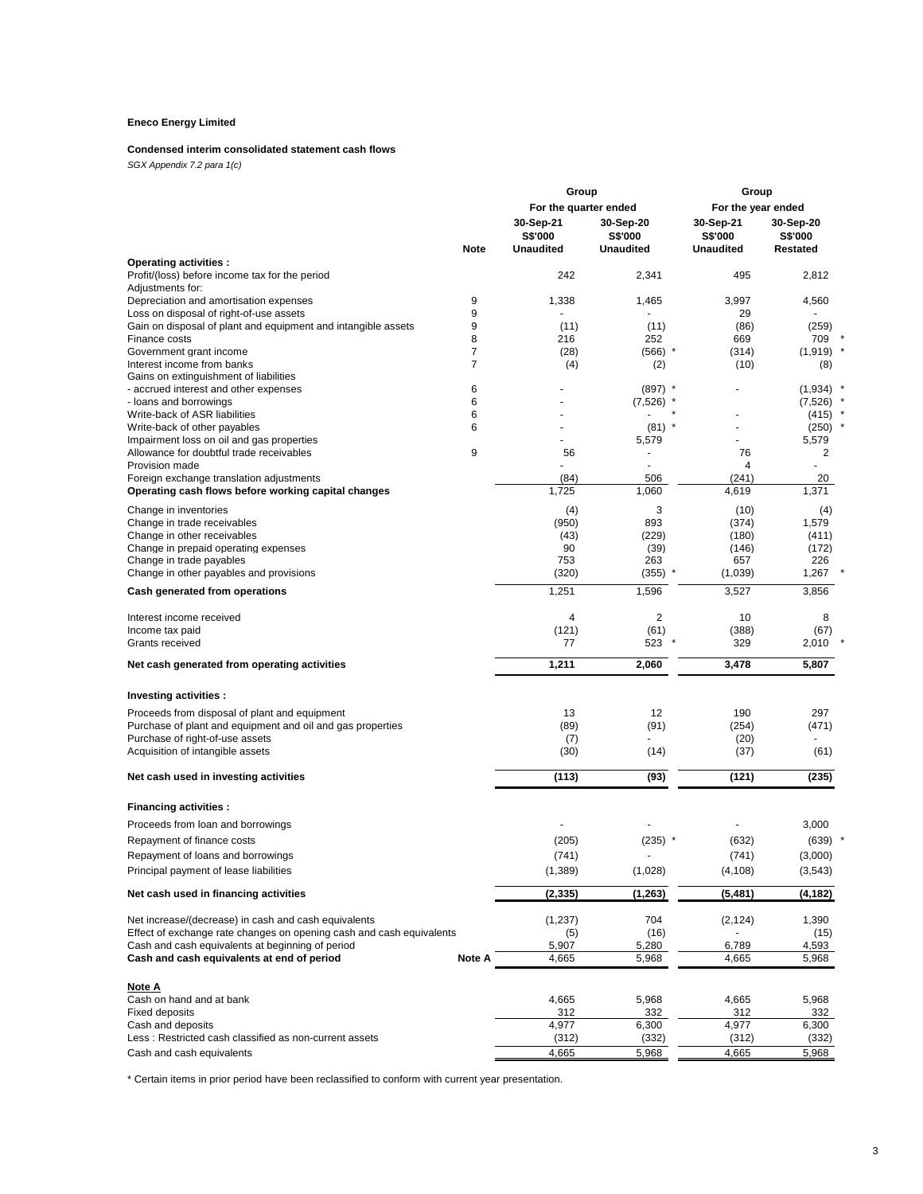## **Condensed interim consolidated statement cash flows**

*SGX Appendix 7.2 para 1(c)*

|                                                                                                                              |                | Group                 |                             | Group                |                      |
|------------------------------------------------------------------------------------------------------------------------------|----------------|-----------------------|-----------------------------|----------------------|----------------------|
|                                                                                                                              |                | For the quarter ended |                             | For the year ended   |                      |
|                                                                                                                              |                | 30-Sep-21<br>S\$'000  | 30-Sep-20<br><b>S\$'000</b> | 30-Sep-21<br>S\$'000 | 30-Sep-20<br>S\$'000 |
|                                                                                                                              | <b>Note</b>    | <b>Unaudited</b>      | <b>Unaudited</b>            | <b>Unaudited</b>     | Restated             |
| <b>Operating activities:</b>                                                                                                 |                |                       |                             |                      |                      |
| Profit/(loss) before income tax for the period                                                                               |                | 242                   | 2,341                       | 495                  | 2,812                |
| Adjustments for:                                                                                                             |                |                       |                             |                      |                      |
| Depreciation and amortisation expenses<br>Loss on disposal of right-of-use assets                                            | 9<br>9         | 1,338                 | 1,465                       | 3,997<br>29          | 4,560                |
| Gain on disposal of plant and equipment and intangible assets                                                                | 9              | (11)                  | (11)                        | (86)                 | (259)                |
| Finance costs                                                                                                                | 8              | 216                   | 252                         | 669                  | 709                  |
| Government grant income                                                                                                      | $\overline{7}$ | (28)                  | $(566)$ *                   | (314)                | $(1,919)$ *          |
| Interest income from banks                                                                                                   | $\overline{7}$ | (4)                   | (2)                         | (10)                 | (8)                  |
| Gains on extinguishment of liabilities                                                                                       |                |                       |                             |                      |                      |
| - accrued interest and other expenses                                                                                        | 6              |                       | $(897)$ *                   |                      | (1,934)              |
| - loans and borrowings                                                                                                       | 6              |                       | (7, 526)                    |                      | (7, 526)             |
| Write-back of ASR liabilities                                                                                                | 6<br>6         |                       | $(81)$ *                    | ä,                   | (415)<br>(250)       |
| Write-back of other payables<br>Impairment loss on oil and gas properties                                                    |                |                       | 5,579                       |                      | 5,579                |
| Allowance for doubtful trade receivables                                                                                     | 9              | 56                    |                             | 76                   | 2                    |
| Provision made                                                                                                               |                |                       | ä,                          | $\overline{4}$       |                      |
| Foreign exchange translation adjustments                                                                                     |                | (84)                  | 506                         | (241)                | 20                   |
| Operating cash flows before working capital changes                                                                          |                | 1,725                 | 1,060                       | 4,619                | 1,371                |
| Change in inventories                                                                                                        |                | (4)                   | 3                           | (10)                 | (4)                  |
| Change in trade receivables                                                                                                  |                | (950)                 | 893                         | (374)                | 1,579                |
| Change in other receivables                                                                                                  |                | (43)                  | (229)                       | (180)                | (411)                |
| Change in prepaid operating expenses                                                                                         |                | 90                    | (39)                        | (146)                | (172)                |
| Change in trade payables                                                                                                     |                | 753                   | 263                         | 657                  | 226                  |
| Change in other payables and provisions                                                                                      |                | (320)                 | (355)                       | (1,039)              | 1,267                |
| Cash generated from operations                                                                                               |                | 1,251                 | 1,596                       | 3,527                | 3,856                |
|                                                                                                                              |                |                       |                             |                      |                      |
| Interest income received                                                                                                     |                | 4                     | $\overline{2}$              | 10                   | 8                    |
| Income tax paid                                                                                                              |                | (121)                 | (61)                        | (388)                | (67)                 |
| Grants received                                                                                                              |                | 77                    | 523                         | 329                  | 2,010                |
| Net cash generated from operating activities                                                                                 |                | 1,211                 | 2,060                       | 3,478                | 5,807                |
| Investing activities :                                                                                                       |                |                       |                             |                      |                      |
| Proceeds from disposal of plant and equipment                                                                                |                | 13                    | 12                          | 190                  | 297                  |
| Purchase of plant and equipment and oil and gas properties                                                                   |                | (89)                  | (91)                        | (254)                | (471)                |
| Purchase of right-of-use assets                                                                                              |                | (7)                   |                             | (20)                 |                      |
| Acquisition of intangible assets                                                                                             |                | (30)                  | (14)                        | (37)                 | (61)                 |
|                                                                                                                              |                |                       |                             |                      |                      |
| Net cash used in investing activities                                                                                        |                | (113)                 | (93)                        | (121)                | (235)                |
| <b>Financing activities:</b>                                                                                                 |                |                       |                             |                      |                      |
| Proceeds from loan and borrowings                                                                                            |                |                       |                             |                      | 3,000                |
| Repayment of finance costs                                                                                                   |                | (205)                 | $(235)$ *                   | (632)                | (639)                |
| Repayment of loans and borrowings                                                                                            |                | (741)                 | ٠                           | (741)                | (3,000)              |
| Principal payment of lease liabilities                                                                                       |                | (1,389)               | (1,028)                     | (4, 108)             | (3,543)              |
| Net cash used in financing activities                                                                                        |                | (2, 335)              | (1, 263)                    | (5,481)              | (4, 182)             |
|                                                                                                                              |                |                       |                             |                      |                      |
| Net increase/(decrease) in cash and cash equivalents<br>Effect of exchange rate changes on opening cash and cash equivalents |                | (1, 237)              | 704                         | (2, 124)             | 1,390                |
| Cash and cash equivalents at beginning of period                                                                             |                | (5)<br>5,907          | (16)<br>5,280               | 6,789                | (15)<br>4,593        |
| Cash and cash equivalents at end of period                                                                                   | Note A         | 4,665                 | 5,968                       | 4,665                | 5,968                |
| Note A                                                                                                                       |                |                       |                             |                      |                      |
| Cash on hand and at bank                                                                                                     |                | 4,665                 | 5,968                       | 4,665                | 5,968                |
| <b>Fixed deposits</b>                                                                                                        |                | 312                   | 332                         | 312                  | 332                  |
| Cash and deposits                                                                                                            |                | 4,977                 | 6,300                       | 4,977                | 6,300                |
| Less: Restricted cash classified as non-current assets                                                                       |                | (312)                 | (332)                       | (312)                | (332)                |
| Cash and cash equivalents                                                                                                    |                | 4,665                 | 5,968                       | 4,665                | 5,968                |

\* Certain items in prior period have been reclassified to conform with current year presentation.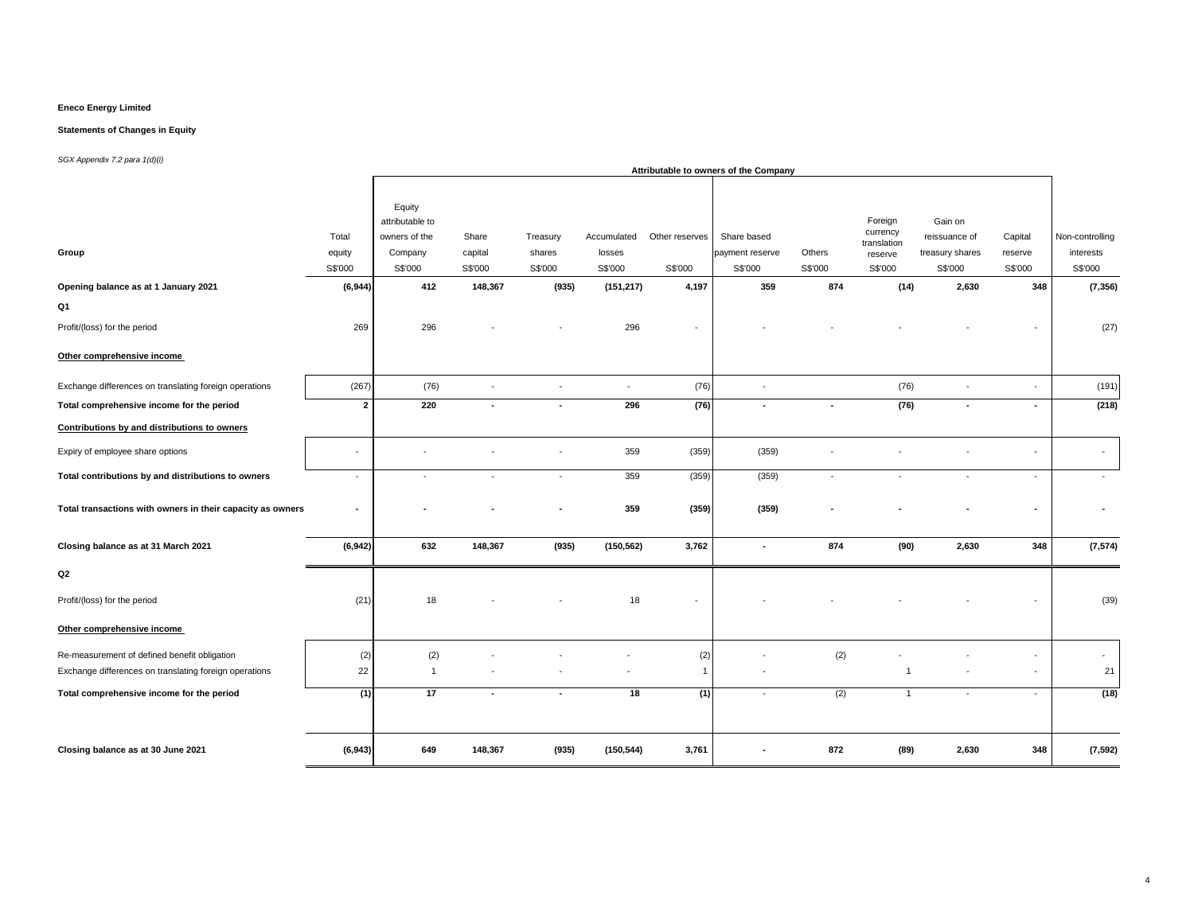### **Statements of Changes in Equity**

|                                                            |                            |                                                                  |                             |                               |                                  |                           | Attributable to owners of the Company     |                   |                                                          |                                                        |                               |                                         |
|------------------------------------------------------------|----------------------------|------------------------------------------------------------------|-----------------------------|-------------------------------|----------------------------------|---------------------------|-------------------------------------------|-------------------|----------------------------------------------------------|--------------------------------------------------------|-------------------------------|-----------------------------------------|
| Group                                                      | Total<br>equity<br>S\$'000 | Equity<br>attributable to<br>owners of the<br>Company<br>S\$'000 | Share<br>capital<br>S\$'000 | Treasury<br>shares<br>S\$'000 | Accumulated<br>losses<br>S\$'000 | Other reserves<br>S\$'000 | Share based<br>payment reserve<br>S\$'000 | Others<br>S\$'000 | Foreign<br>currency<br>translation<br>reserve<br>S\$'000 | Gain on<br>reissuance of<br>treasury shares<br>S\$'000 | Capital<br>reserve<br>S\$'000 | Non-controlling<br>interests<br>S\$'000 |
| Opening balance as at 1 January 2021                       | (6, 944)                   | 412                                                              | 148,367                     | (935)                         | (151, 217)                       | 4,197                     | 359                                       | 874               | (14)                                                     | 2,630                                                  | 348                           | (7, 356)                                |
| Q1                                                         |                            |                                                                  |                             |                               |                                  |                           |                                           |                   |                                                          |                                                        |                               |                                         |
| Profit/(loss) for the period                               | 269                        | 296                                                              |                             |                               | 296                              |                           |                                           |                   |                                                          |                                                        |                               | (27)                                    |
| Other comprehensive income                                 |                            |                                                                  |                             |                               |                                  |                           |                                           |                   |                                                          |                                                        |                               |                                         |
| Exchange differences on translating foreign operations     | (267)                      | (76)                                                             | $\blacksquare$              | $\overline{\phantom{a}}$      | $\sim$                           | (76)                      | $\sim$                                    |                   | (76)                                                     | $\blacksquare$                                         | $\sim$                        | (191)                                   |
| Total comprehensive income for the period                  | $\overline{2}$             | 220                                                              | $\blacksquare$              | $\overline{\phantom{a}}$      | 296                              | (76)                      |                                           | $\blacksquare$    | (76)                                                     | $\blacksquare$                                         | $\overline{\phantom{a}}$      | (218)                                   |
| Contributions by and distributions to owners               |                            |                                                                  |                             |                               |                                  |                           |                                           |                   |                                                          |                                                        |                               |                                         |
| Expiry of employee share options                           | $\ddot{\phantom{1}}$       |                                                                  |                             |                               | 359                              | (359)                     | (359)                                     |                   |                                                          |                                                        |                               | $\blacksquare$                          |
| Total contributions by and distributions to owners         | $\blacksquare$             | $\sim$                                                           | $\sim$                      | $\sim$                        | 359                              | (359)                     | (359)                                     | $\sim$            | $\blacksquare$                                           | $\blacksquare$                                         | $\mathbf{r}$                  | $\sim$                                  |
| Total transactions with owners in their capacity as owners |                            |                                                                  |                             |                               | 359                              | (359)                     | (359)                                     |                   |                                                          |                                                        |                               |                                         |
| Closing balance as at 31 March 2021                        | (6, 942)                   | 632                                                              | 148,367                     | (935)                         | (150, 562)                       | 3,762                     | $\blacksquare$                            | 874               | (90)                                                     | 2,630                                                  | 348                           | (7, 574)                                |
| Q2                                                         |                            |                                                                  |                             |                               |                                  |                           |                                           |                   |                                                          |                                                        |                               |                                         |
| Profit/(loss) for the period                               | (21)                       | 18                                                               |                             |                               | 18                               |                           |                                           |                   |                                                          |                                                        |                               | (39)                                    |
| Other comprehensive income                                 |                            |                                                                  |                             |                               |                                  |                           |                                           |                   |                                                          |                                                        |                               |                                         |
| Re-measurement of defined benefit obligation               | (2)                        | (2)                                                              |                             |                               |                                  | (2)                       |                                           | (2)               |                                                          |                                                        | $\sim$                        | $\sim$                                  |
| Exchange differences on translating foreign operations     | 22                         | $\overline{1}$                                                   |                             |                               |                                  | $\overline{1}$            |                                           |                   | $\overline{1}$                                           |                                                        | $\blacksquare$                | 21                                      |
| Total comprehensive income for the period                  | (1)                        | 17                                                               | $\blacksquare$              | $\overline{\phantom{a}}$      | 18                               | (1)                       |                                           | (2)               | $\overline{1}$                                           | $\blacksquare$                                         | $\sim$                        | (18)                                    |
|                                                            |                            |                                                                  |                             |                               |                                  |                           |                                           |                   |                                                          |                                                        |                               |                                         |
| Closing balance as at 30 June 2021                         | (6, 943)                   | 649                                                              | 148,367                     | (935)                         | (150, 544)                       | 3,761                     |                                           | 872               | (89)                                                     | 2,630                                                  | 348                           | (7, 592)                                |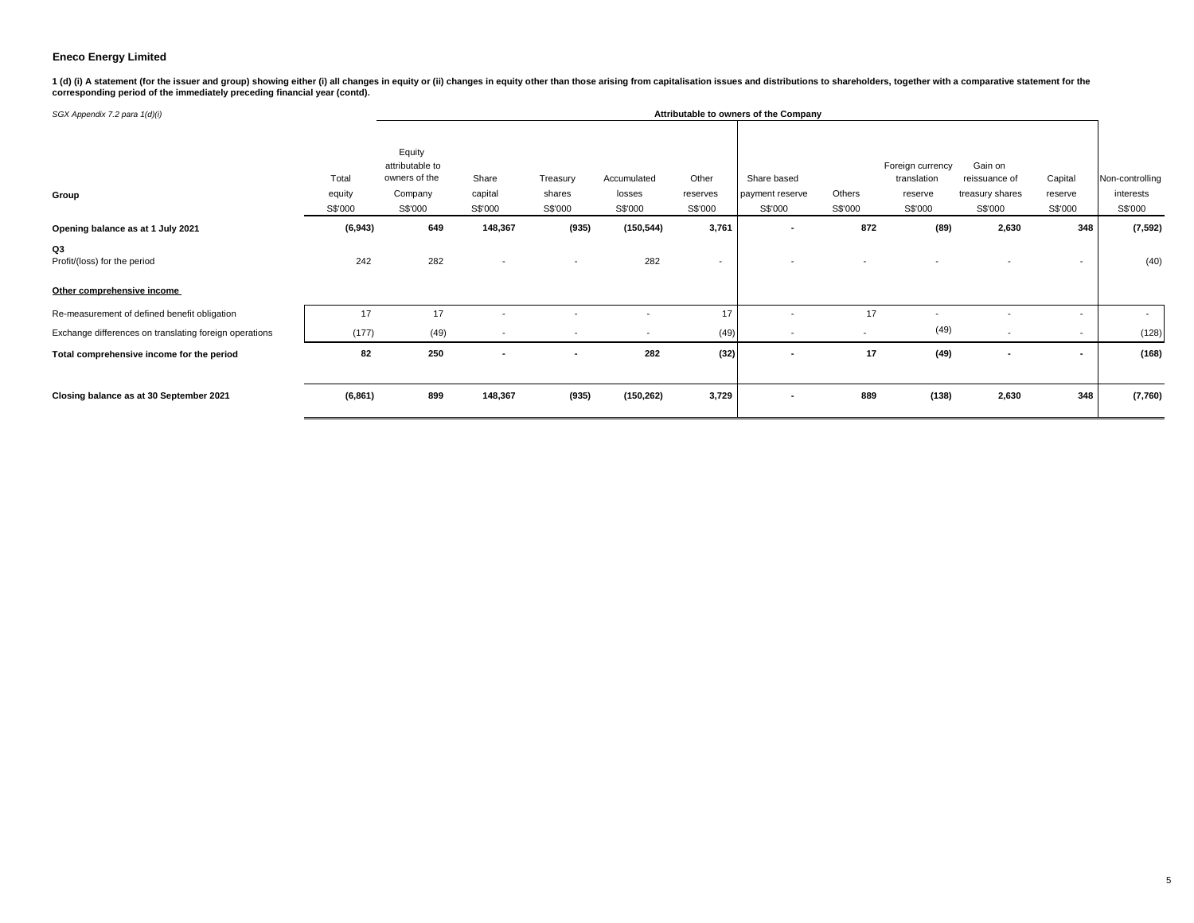1 (d) (i) A statement (for the issuer and group) showing either (i) all changes in equity or (ii) changes in equity other than those arising from capitalisation issues and distributions to shareholders, together with a com

| SGX Appendix 7.2 para 1(d)(i)                                    |                            |                                                                  |                             |                               |                                  |                              | Attributable to owners of the Company     |                   |                                                       |                                                        |                               |                                         |
|------------------------------------------------------------------|----------------------------|------------------------------------------------------------------|-----------------------------|-------------------------------|----------------------------------|------------------------------|-------------------------------------------|-------------------|-------------------------------------------------------|--------------------------------------------------------|-------------------------------|-----------------------------------------|
| Group                                                            | Total<br>equity<br>S\$'000 | Equity<br>attributable to<br>owners of the<br>Company<br>S\$'000 | Share<br>capital<br>S\$'000 | Treasury<br>shares<br>S\$'000 | Accumulated<br>losses<br>S\$'000 | Other<br>reserves<br>S\$'000 | Share based<br>payment reserve<br>S\$'000 | Others<br>S\$'000 | Foreign currency<br>translation<br>reserve<br>S\$'000 | Gain on<br>reissuance of<br>treasury shares<br>S\$'000 | Capital<br>reserve<br>S\$'000 | Non-controlling<br>interests<br>S\$'000 |
| Opening balance as at 1 July 2021                                | (6, 943)                   | 649                                                              | 148,367                     | (935)                         | (150, 544)                       | 3,761                        | $\overline{\phantom{a}}$                  | 872               | (89)                                                  | 2,630                                                  | 348                           | (7, 592)                                |
| Q3<br>Profit/(loss) for the period<br>Other comprehensive income | 242                        | 282                                                              | $\overline{\phantom{a}}$    |                               | 282                              | $\overline{\phantom{a}}$     |                                           |                   |                                                       |                                                        | $\overline{\phantom{a}}$      | (40)                                    |
| Re-measurement of defined benefit obligation                     | 17                         | 17                                                               |                             |                               |                                  | 17                           |                                           | 17                |                                                       |                                                        | $\overline{\phantom{a}}$      | $\sim$                                  |
| Exchange differences on translating foreign operations           | (177)                      | (49)                                                             | $\overline{\phantom{a}}$    | $\overline{\phantom{a}}$      | $\overline{\phantom{a}}$         | (49)                         | $\overline{\phantom{a}}$                  | $\sim$            | (49)                                                  | $\sim$                                                 | $\overline{\phantom{a}}$      | (128)                                   |
| Total comprehensive income for the period                        | 82                         | 250                                                              | ٠                           |                               | 282                              | (32)                         | $\blacksquare$                            | 17                | (49)                                                  | $\blacksquare$                                         | $\blacksquare$                | (168)                                   |
| Closing balance as at 30 September 2021                          | (6, 861)                   | 899                                                              | 148,367                     | (935)                         | (150, 262)                       | 3,729                        | $\overline{\phantom{a}}$                  | 889               | (138)                                                 | 2,630                                                  | 348                           | (7,760)                                 |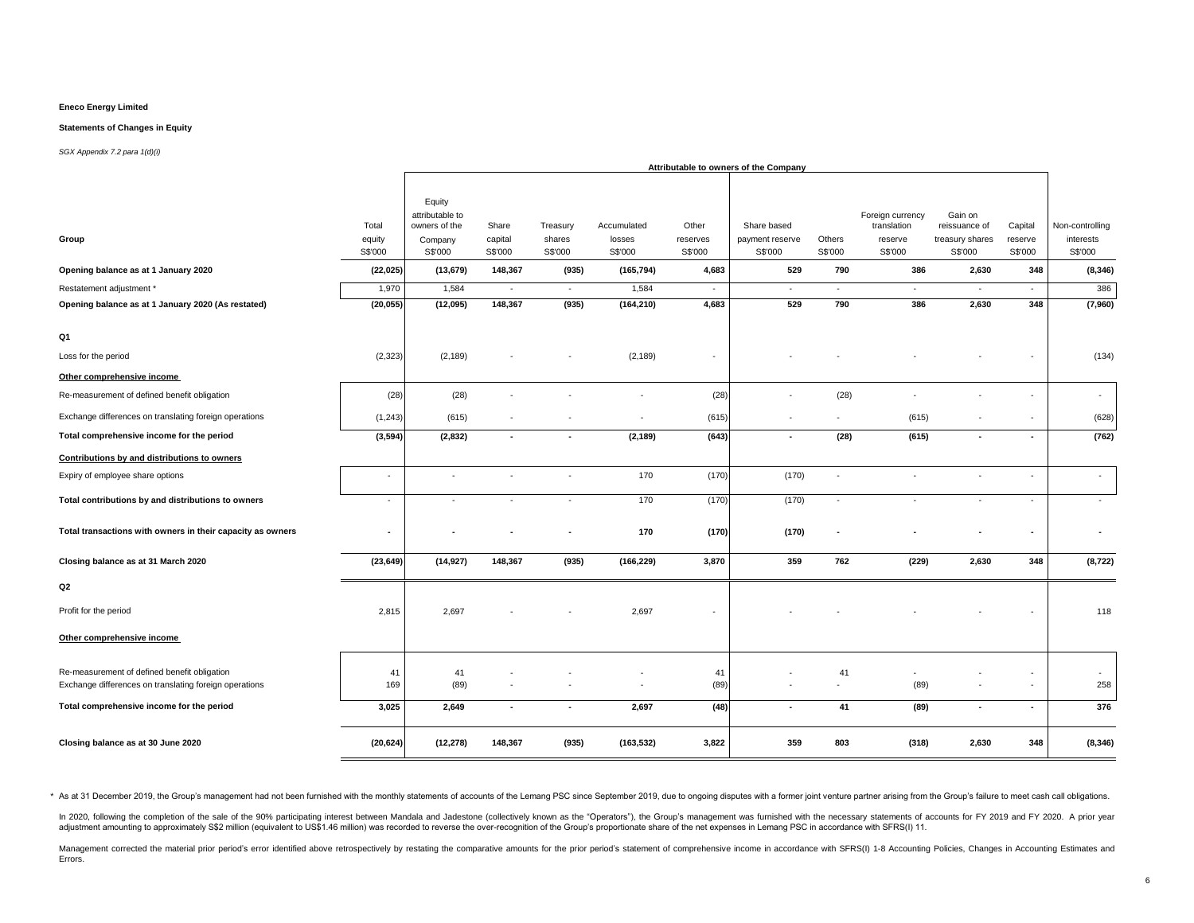#### **Statements of Changes in Equity**

#### *SGX Appendix 7.2 para 1(d)(i)*

|                                                                                                                                                     |                                                  |                                                                                        |                                                  |                                                  |                                                         |                                                 | Attributable to owners of the Company                      |                                    |                                                                        |                                                                           |                                                |                                                            |
|-----------------------------------------------------------------------------------------------------------------------------------------------------|--------------------------------------------------|----------------------------------------------------------------------------------------|--------------------------------------------------|--------------------------------------------------|---------------------------------------------------------|-------------------------------------------------|------------------------------------------------------------|------------------------------------|------------------------------------------------------------------------|---------------------------------------------------------------------------|------------------------------------------------|------------------------------------------------------------|
| Group<br>Opening balance as at 1 January 2020<br>Restatement adjustment *                                                                           | Total<br>equity<br>S\$'000<br>(22, 025)<br>1,970 | Equity<br>attributable to<br>owners of the<br>Company<br>S\$'000<br>(13, 679)<br>1,584 | Share<br>capital<br>S\$'000<br>148,367<br>$\sim$ | Treasury<br>shares<br>S\$'000<br>(935)<br>$\sim$ | Accumulated<br>losses<br>S\$'000<br>(165, 794)<br>1,584 | Other<br>reserves<br>S\$'000<br>4,683<br>$\sim$ | Share based<br>payment reserve<br>S\$'000<br>529<br>$\sim$ | Others<br>S\$'000<br>790<br>$\sim$ | Foreign currency<br>translation<br>reserve<br>S\$'000<br>386<br>$\sim$ | Gain on<br>reissuance of<br>treasury shares<br>S\$'000<br>2,630<br>$\sim$ | Capital<br>reserve<br>S\$'000<br>348<br>$\sim$ | Non-controlling<br>interests<br>S\$'000<br>(8, 346)<br>386 |
| Opening balance as at 1 January 2020 (As restated)                                                                                                  | (20, 055)                                        | (12,095)                                                                               | 148,367                                          | (935)                                            | (164, 210)                                              | 4,683                                           | 529                                                        | 790                                | 386                                                                    | 2,630                                                                     | 348                                            | (7,960)                                                    |
| Q1<br>Loss for the period<br>Other comprehensive income                                                                                             | (2, 323)                                         | (2, 189)                                                                               |                                                  |                                                  | (2, 189)                                                | $\sim$                                          |                                                            |                                    |                                                                        |                                                                           |                                                | (134)                                                      |
| Re-measurement of defined benefit obligation                                                                                                        | (28)                                             | (28)                                                                                   |                                                  |                                                  | ٠                                                       | (28)                                            |                                                            | (28)                               |                                                                        |                                                                           |                                                | $\sim$                                                     |
| Exchange differences on translating foreign operations                                                                                              | (1, 243)                                         | (615)                                                                                  |                                                  |                                                  | $\sim$                                                  | (615)                                           | $\overline{\phantom{a}}$                                   |                                    | (615)                                                                  |                                                                           |                                                | (628)                                                      |
| Total comprehensive income for the period                                                                                                           | (3, 594)                                         | (2,832)                                                                                | $\blacksquare$                                   | $\blacksquare$                                   | (2, 189)                                                | (643)                                           | $\overline{\phantom{a}}$                                   | (28)                               | (615)                                                                  | $\overline{\phantom{a}}$                                                  | $\sim$                                         | (762)                                                      |
| Contributions by and distributions to owners                                                                                                        |                                                  |                                                                                        |                                                  |                                                  |                                                         |                                                 |                                                            |                                    |                                                                        |                                                                           |                                                |                                                            |
| Expiry of employee share options                                                                                                                    | $\sim$                                           | $\sim$                                                                                 | $\bar{a}$                                        | $\sim$                                           | 170                                                     | (170)                                           | (170)                                                      | $\overline{\phantom{a}}$           | ٠                                                                      | $\sim$                                                                    | $\sim$                                         | $\sim$                                                     |
| Total contributions by and distributions to owners                                                                                                  | $\sim$                                           | $\sim$                                                                                 | $\sim$                                           | $\sim$                                           | 170                                                     | (170)                                           | (170)                                                      | $\sim$                             | $\sim$                                                                 | $\sim$                                                                    | $\sim$                                         | $\sim$                                                     |
| Total transactions with owners in their capacity as owners                                                                                          | $\overline{\phantom{a}}$                         |                                                                                        |                                                  |                                                  | 170                                                     | (170)                                           | (170)                                                      |                                    |                                                                        |                                                                           | $\overline{\phantom{a}}$                       | $\overline{\phantom{a}}$                                   |
| Closing balance as at 31 March 2020                                                                                                                 | (23, 649)                                        | (14, 927)                                                                              | 148,367                                          | (935)                                            | (166, 229)                                              | 3,870                                           | 359                                                        | 762                                | (229)                                                                  | 2,630                                                                     | 348                                            | (8, 722)                                                   |
| Q2                                                                                                                                                  |                                                  |                                                                                        |                                                  |                                                  |                                                         |                                                 |                                                            |                                    |                                                                        |                                                                           |                                                |                                                            |
| Profit for the period                                                                                                                               | 2,815                                            | 2,697                                                                                  |                                                  |                                                  | 2,697                                                   |                                                 |                                                            |                                    |                                                                        |                                                                           |                                                | 118                                                        |
| Other comprehensive income                                                                                                                          |                                                  |                                                                                        |                                                  |                                                  |                                                         |                                                 |                                                            |                                    |                                                                        |                                                                           |                                                |                                                            |
| Re-measurement of defined benefit obligation<br>Exchange differences on translating foreign operations<br>Total comprehensive income for the period | 41<br>169<br>3,025                               | 41<br>(89)<br>2,649                                                                    | $\bar{a}$<br>$\blacksquare$                      | $\overline{\phantom{a}}$                         | $\sim$<br>2,697                                         | 41<br>(89)<br>(48)                              | $\sim$<br>$\overline{\phantom{a}}$                         | 41<br>$\sim$<br>41                 | (89)<br>(89)                                                           | $\sim$<br>$\blacksquare$                                                  | $\sim$                                         | ٠<br>258<br>376                                            |
|                                                                                                                                                     |                                                  |                                                                                        |                                                  |                                                  |                                                         |                                                 |                                                            |                                    |                                                                        |                                                                           |                                                |                                                            |
| Closing balance as at 30 June 2020                                                                                                                  | (20, 624)                                        | (12, 278)                                                                              | 148,367                                          | (935)                                            | (163, 532)                                              | 3,822                                           | 359                                                        | 803                                | (318)                                                                  | 2,630                                                                     | 348                                            | (8, 346)                                                   |

\* As at 31 December 2019, the Group's management had not been furnished with the monthly statements of accounts of the Lemang PSC since September 2019, due to ongoing disputes with a former joint venture partner arising fr

In 2020, following the completion of the sale of the 90% participating interest between Mandala and Jadestone (collectively known as the "Operators"), the Group's management was furnished with the necessary statements of a adjustment amounting to approximately S\$2 million (equivalent to US\$1.46 million) was recorded to reverse the over-recognition of the Group's proportionate share of the net expenses in Lemang PSC in accordance with SFRS(I)

Management corrected the material prior period's error identified above retrospectively by restating the comparative amounts for the prior period's statement of comprehensive income in accordance with SFRS(I) 1-8 Accountin Errors.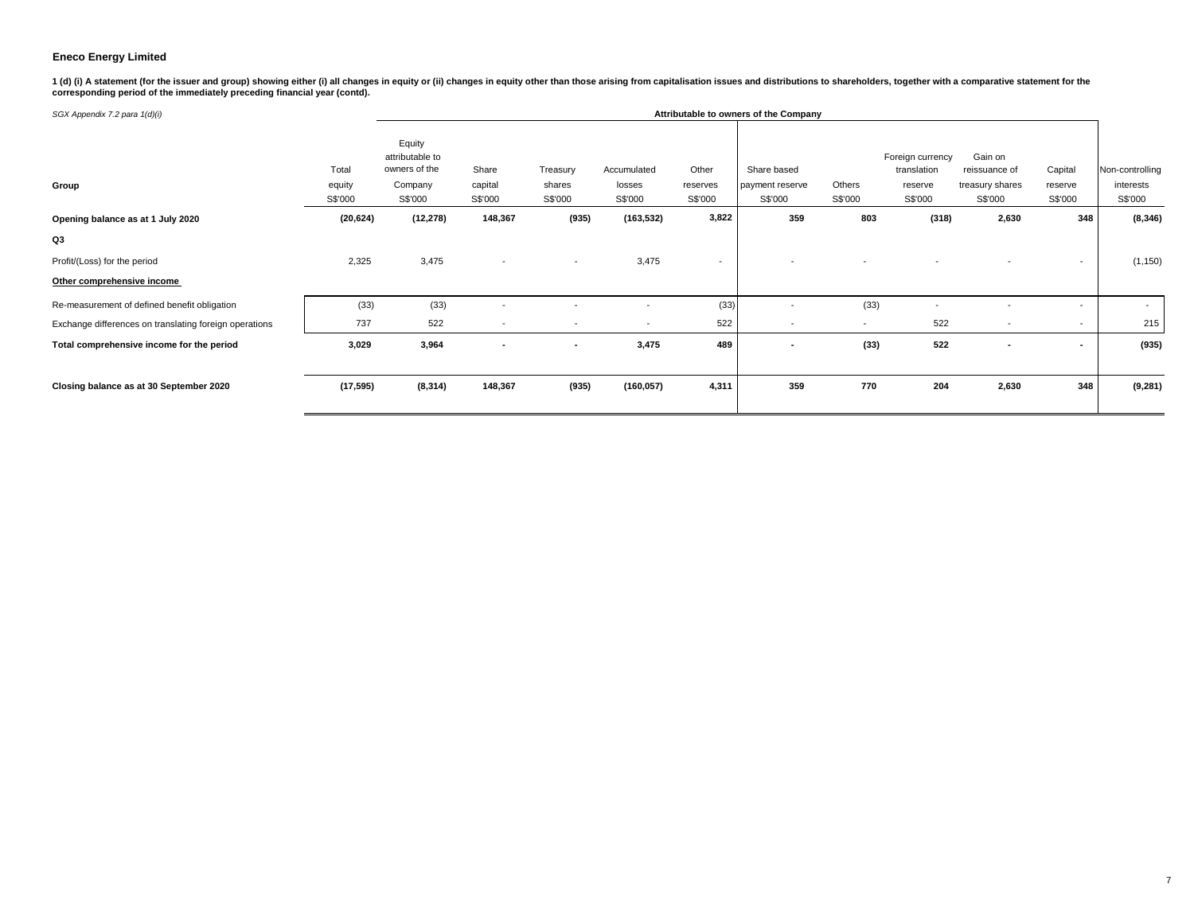1 (d) (i) A statement (for the issuer and group) showing either (i) all changes in equity or (ii) changes in equity other than those arising from capitalisation issues and distributions to shareholders, together with a com

| SGX Appendix 7.2 para 1(d)(i)                          |                            | Attributable to owners of the Company                            |                             |                               |                                  |                              |                                           |                          |                                                       |                                                        |                               |                                         |
|--------------------------------------------------------|----------------------------|------------------------------------------------------------------|-----------------------------|-------------------------------|----------------------------------|------------------------------|-------------------------------------------|--------------------------|-------------------------------------------------------|--------------------------------------------------------|-------------------------------|-----------------------------------------|
| Group                                                  | Total<br>equity<br>S\$'000 | Equity<br>attributable to<br>owners of the<br>Company<br>S\$'000 | Share<br>capital<br>S\$'000 | Treasury<br>shares<br>S\$'000 | Accumulated<br>losses<br>S\$'000 | Other<br>reserves<br>S\$'000 | Share based<br>payment reserve<br>S\$'000 | Others<br>S\$'000        | Foreign currency<br>translation<br>reserve<br>S\$'000 | Gain on<br>reissuance of<br>treasury shares<br>S\$'000 | Capital<br>reserve<br>S\$'000 | Non-controlling<br>interests<br>S\$'000 |
| Opening balance as at 1 July 2020                      | (20, 624)                  | (12, 278)                                                        | 148,367                     | (935)                         | (163, 532)                       | 3,822                        | 359                                       | 803                      | (318)                                                 | 2,630                                                  | 348                           | (8, 346)                                |
| Q3                                                     |                            |                                                                  |                             |                               |                                  |                              |                                           |                          |                                                       |                                                        |                               |                                         |
| Profit/(Loss) for the period                           | 2,325                      | 3,475                                                            | $\overline{\phantom{a}}$    | $\overline{\phantom{a}}$      | 3,475                            | $\overline{\phantom{a}}$     |                                           |                          |                                                       |                                                        | $\sim$                        | (1, 150)                                |
| Other comprehensive income                             |                            |                                                                  |                             |                               |                                  |                              |                                           |                          |                                                       |                                                        |                               |                                         |
| Re-measurement of defined benefit obligation           | (33)                       | (33)                                                             | $\overline{\phantom{a}}$    |                               | $\overline{\phantom{a}}$         | (33)                         | $\overline{\phantom{a}}$                  | (33)                     |                                                       |                                                        | $\sim$                        | $\sim$                                  |
| Exchange differences on translating foreign operations | 737                        | 522                                                              | $\overline{\phantom{a}}$    |                               | $\overline{\phantom{0}}$         | 522                          | $\overline{\phantom{a}}$                  | $\overline{\phantom{a}}$ | 522                                                   | $\overline{\phantom{a}}$                               | $\sim$                        | 215                                     |
| Total comprehensive income for the period              | 3,029                      | 3,964                                                            | ٠                           | $\blacksquare$                | 3,475                            | 489                          | $\blacksquare$                            | (33)                     | 522                                                   | ٠                                                      |                               | (935)                                   |
| Closing balance as at 30 September 2020                | (17, 595)                  | (8, 314)                                                         | 148,367                     | (935)                         | (160, 057)                       | 4,311                        | 359                                       | 770                      | 204                                                   | 2,630                                                  | 348                           | (9, 281)                                |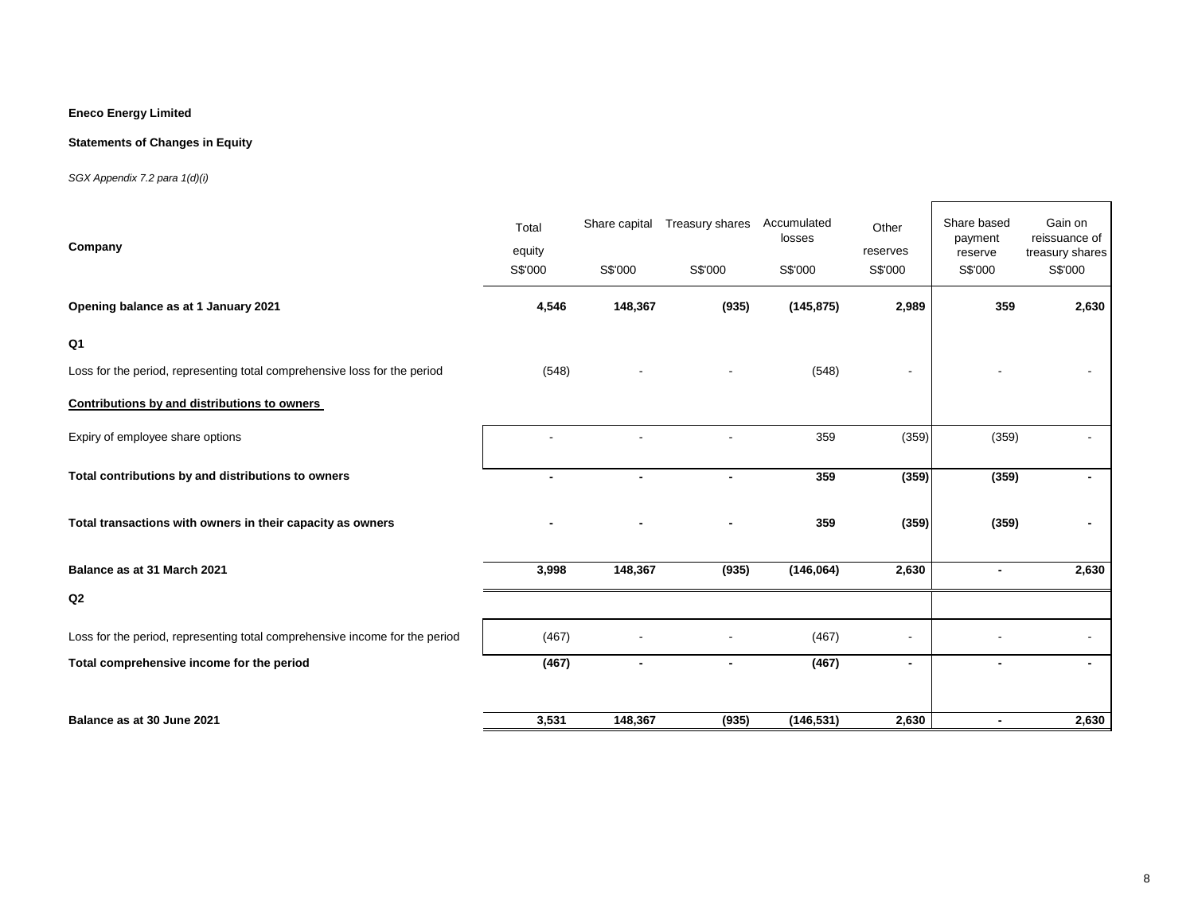### **Statements of Changes in Equity**

### *SGX Appendix 7.2 para 1(d)(i)*

| Company                                                                     | Total<br>equity<br>S\$'000 | Share capital<br>S\$'000 | Treasury shares<br>S\$'000 | Accumulated<br>losses<br>S\$'000 | Other<br>reserves<br>S\$'000 | Share based<br>payment<br>reserve<br>S\$'000 | Gain on<br>reissuance of<br>treasury shares<br>S\$'000 |
|-----------------------------------------------------------------------------|----------------------------|--------------------------|----------------------------|----------------------------------|------------------------------|----------------------------------------------|--------------------------------------------------------|
| Opening balance as at 1 January 2021                                        | 4,546                      | 148,367                  | (935)                      | (145, 875)                       | 2,989                        | 359                                          | 2,630                                                  |
| Q <sub>1</sub>                                                              |                            |                          |                            |                                  |                              |                                              |                                                        |
| Loss for the period, representing total comprehensive loss for the period   | (548)                      |                          |                            | (548)                            |                              |                                              |                                                        |
| Contributions by and distributions to owners                                |                            |                          |                            |                                  |                              |                                              |                                                        |
| Expiry of employee share options                                            |                            |                          |                            | 359                              | (359)                        | (359)                                        |                                                        |
| Total contributions by and distributions to owners                          | $\blacksquare$             | $\blacksquare$           | $\overline{\phantom{0}}$   | 359                              | (359)                        | (359)                                        | $\blacksquare$                                         |
| Total transactions with owners in their capacity as owners                  |                            |                          |                            | 359                              | (359)                        | (359)                                        |                                                        |
| Balance as at 31 March 2021                                                 | 3,998                      | 148,367                  | (935)                      | (146,064)                        | 2,630                        |                                              | 2,630                                                  |
| Q2                                                                          |                            |                          |                            |                                  |                              |                                              |                                                        |
| Loss for the period, representing total comprehensive income for the period | (467)                      |                          |                            | (467)                            | $\overline{\phantom{a}}$     |                                              |                                                        |
| Total comprehensive income for the period                                   | (467)                      | $\blacksquare$           | $\blacksquare$             | (467)                            | $\blacksquare$               |                                              | $\blacksquare$                                         |
|                                                                             |                            |                          |                            |                                  |                              |                                              |                                                        |
| Balance as at 30 June 2021                                                  | 3,531                      | 148,367                  | (935)                      | (146, 531)                       | 2,630                        |                                              | 2,630                                                  |

┑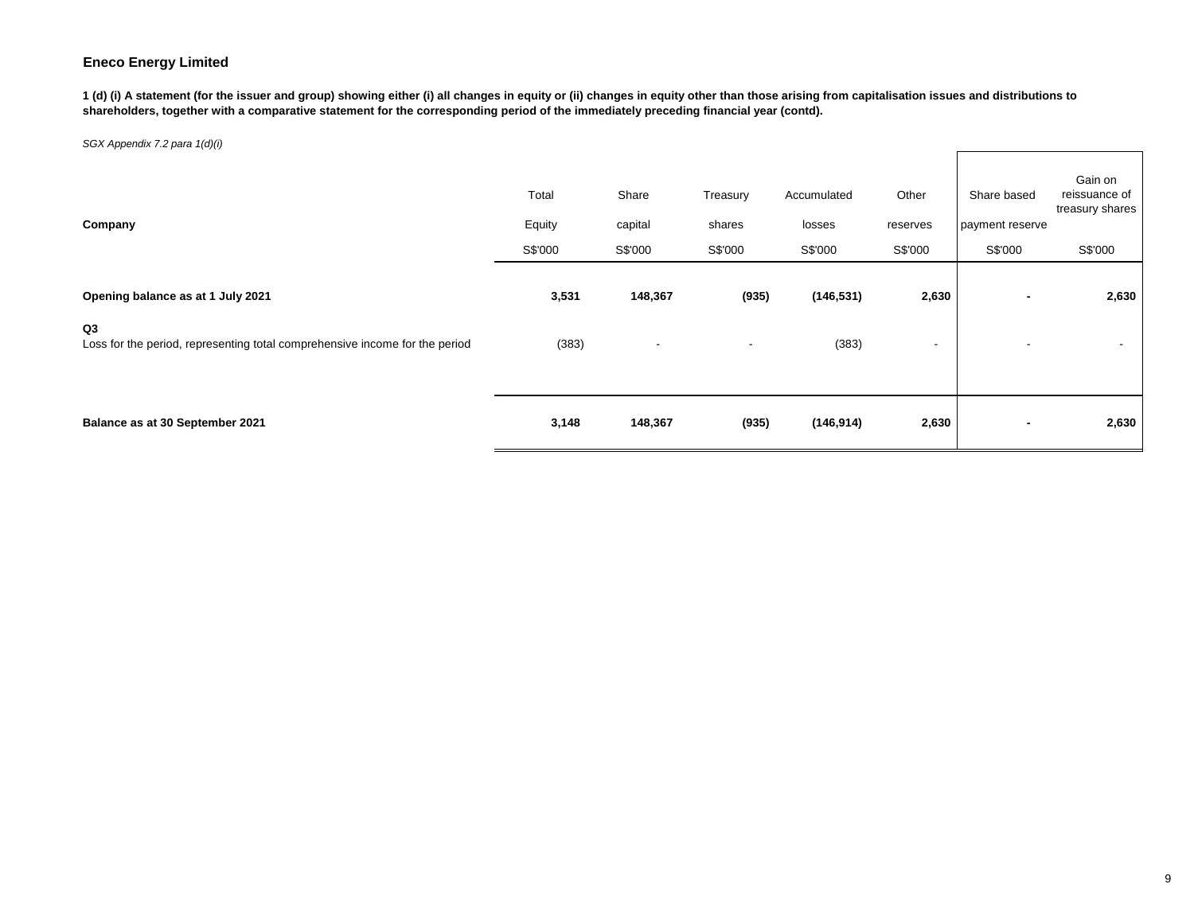**1 (d) (i) A statement (for the issuer and group) showing either (i) all changes in equity or (ii) changes in equity other than those arising from capitalisation issues and distributions to shareholders, together with a comparative statement for the corresponding period of the immediately preceding financial year (contd).**

| Company                                                                                       | Total<br>Equity<br>S\$'000 | Share<br>capital<br>S\$'000 | Treasury<br>shares<br>S\$'000 | Accumulated<br>losses<br>S\$'000 | Other<br>reserves<br>S\$'000 | Share based<br>payment reserve<br>S\$'000 | Gain on<br>reissuance of<br>treasury shares<br>S\$'000 |
|-----------------------------------------------------------------------------------------------|----------------------------|-----------------------------|-------------------------------|----------------------------------|------------------------------|-------------------------------------------|--------------------------------------------------------|
| Opening balance as at 1 July 2021                                                             | 3,531                      | 148,367                     | (935)                         | (146, 531)                       | 2,630                        |                                           | 2,630                                                  |
| Q <sub>3</sub><br>Loss for the period, representing total comprehensive income for the period | (383)                      | $\overline{\phantom{a}}$    | $\overline{\phantom{a}}$      | (383)                            | -                            |                                           | $\overline{\phantom{a}}$                               |
|                                                                                               |                            |                             |                               |                                  |                              |                                           |                                                        |
| Balance as at 30 September 2021                                                               | 3,148                      | 148,367                     | (935)                         | (146, 914)                       | 2,630                        |                                           | 2,630                                                  |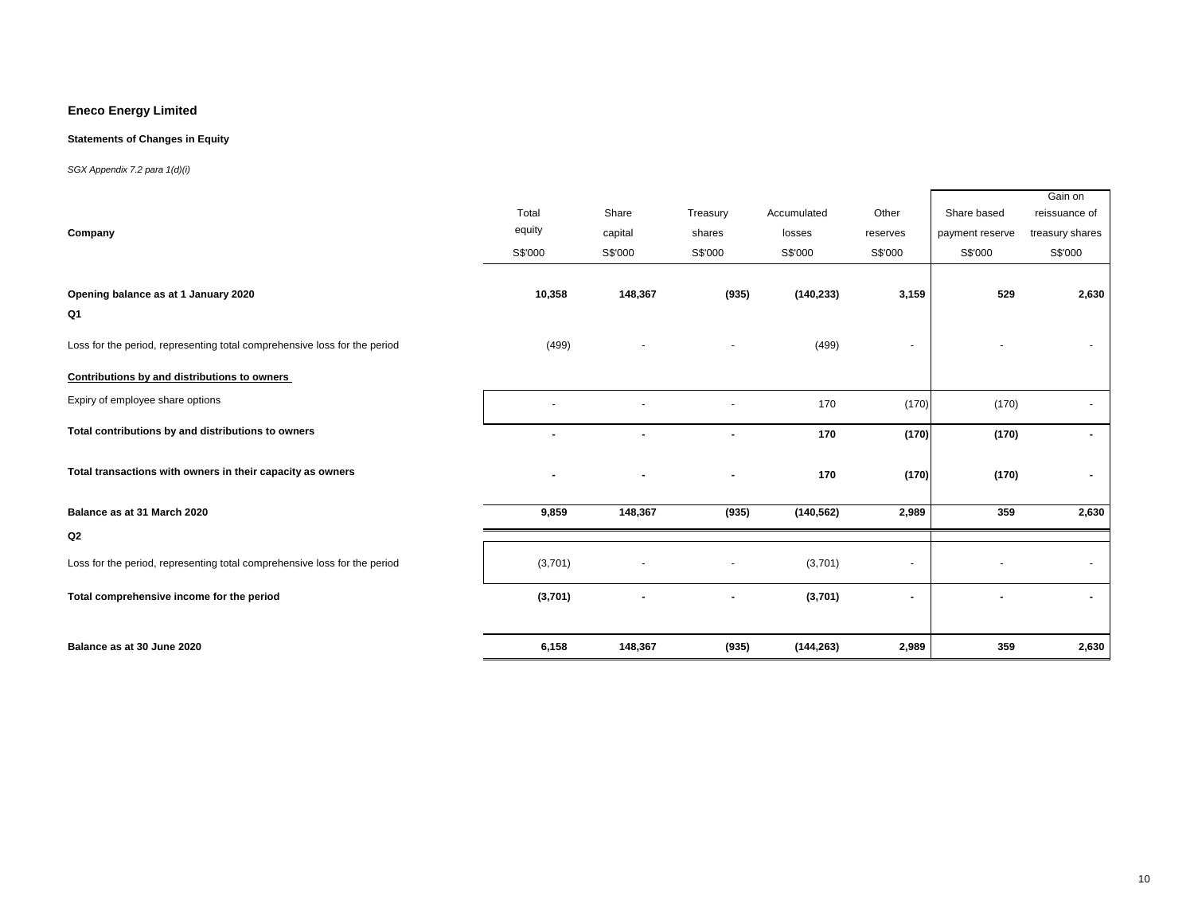### **Statements of Changes in Equity**

|                                                                           |                |                |                          |             |                          |                 | Gain on         |
|---------------------------------------------------------------------------|----------------|----------------|--------------------------|-------------|--------------------------|-----------------|-----------------|
|                                                                           | Total          | Share          | Treasury                 | Accumulated | Other                    | Share based     | reissuance of   |
| Company                                                                   | equity         | capital        | shares                   | losses      | reserves                 | payment reserve | treasury shares |
|                                                                           | S\$'000        | S\$'000        | S\$'000                  | S\$'000     | S\$'000                  | S\$'000         | S\$'000         |
|                                                                           |                |                |                          |             |                          |                 |                 |
| Opening balance as at 1 January 2020                                      | 10,358         | 148,367        | (935)                    | (140, 233)  | 3,159                    | 529             | 2,630           |
| Q1                                                                        |                |                |                          |             |                          |                 |                 |
| Loss for the period, representing total comprehensive loss for the period | (499)          |                | $\overline{\phantom{a}}$ | (499)       | $\overline{\phantom{a}}$ |                 |                 |
|                                                                           |                |                |                          |             |                          |                 |                 |
| Contributions by and distributions to owners                              |                |                |                          |             |                          |                 |                 |
| Expiry of employee share options                                          |                |                |                          | 170         | (170)                    | (170)           |                 |
| Total contributions by and distributions to owners                        | $\blacksquare$ | $\blacksquare$ | $\blacksquare$           | 170         | (170)                    | (170)           | $\blacksquare$  |
| Total transactions with owners in their capacity as owners                |                |                |                          |             |                          |                 |                 |
|                                                                           |                |                |                          | 170         | (170)                    | (170)           |                 |
| Balance as at 31 March 2020                                               | 9,859          | 148,367        | (935)                    | (140, 562)  | 2,989                    | 359             | 2,630           |
| Q2                                                                        |                |                |                          |             |                          |                 |                 |
| Loss for the period, representing total comprehensive loss for the period | (3,701)        |                |                          | (3,701)     | $\overline{\phantom{a}}$ |                 |                 |
| Total comprehensive income for the period                                 | (3,701)        |                |                          | (3,701)     | $\blacksquare$           |                 |                 |
|                                                                           |                |                |                          |             |                          |                 |                 |
| Balance as at 30 June 2020                                                | 6,158          | 148,367        | (935)                    | (144, 263)  | 2,989                    | 359             | 2,630           |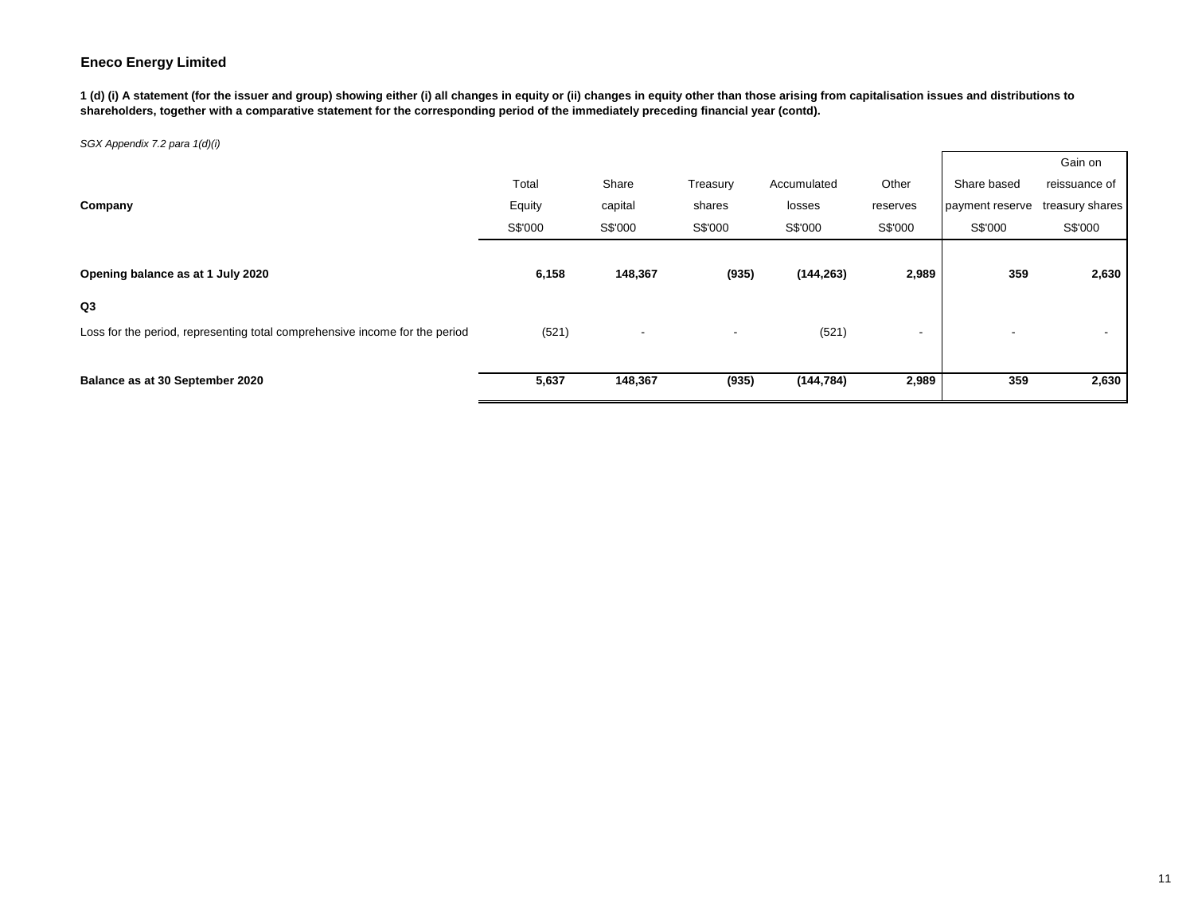**1 (d) (i) A statement (for the issuer and group) showing either (i) all changes in equity or (ii) changes in equity other than those arising from capitalisation issues and distributions to shareholders, together with a comparative statement for the corresponding period of the immediately preceding financial year (contd).**

|                                                                             |         |                          |                          |             |                          |                          | Gain on         |
|-----------------------------------------------------------------------------|---------|--------------------------|--------------------------|-------------|--------------------------|--------------------------|-----------------|
|                                                                             | Total   | Share                    | Treasury                 | Accumulated | Other                    | Share based              | reissuance of   |
| Company                                                                     | Equity  | capital                  | shares                   | losses      | reserves                 | payment reserve          | treasury shares |
|                                                                             | S\$'000 | S\$'000                  | S\$'000                  | S\$'000     | S\$'000                  | S\$'000                  | S\$'000         |
|                                                                             |         |                          |                          |             |                          |                          |                 |
| Opening balance as at 1 July 2020                                           | 6,158   | 148,367                  | (935)                    | (144, 263)  | 2,989                    | 359                      | 2,630           |
| Q3                                                                          |         |                          |                          |             |                          |                          |                 |
| Loss for the period, representing total comprehensive income for the period | (521)   | $\overline{\phantom{a}}$ | $\overline{\phantom{a}}$ | (521)       | $\overline{\phantom{a}}$ | $\overline{\phantom{a}}$ |                 |
|                                                                             |         |                          |                          |             |                          |                          |                 |
| Balance as at 30 September 2020                                             | 5,637   | 148,367                  | (935)                    | (144, 784)  | 2,989                    | 359                      | 2,630           |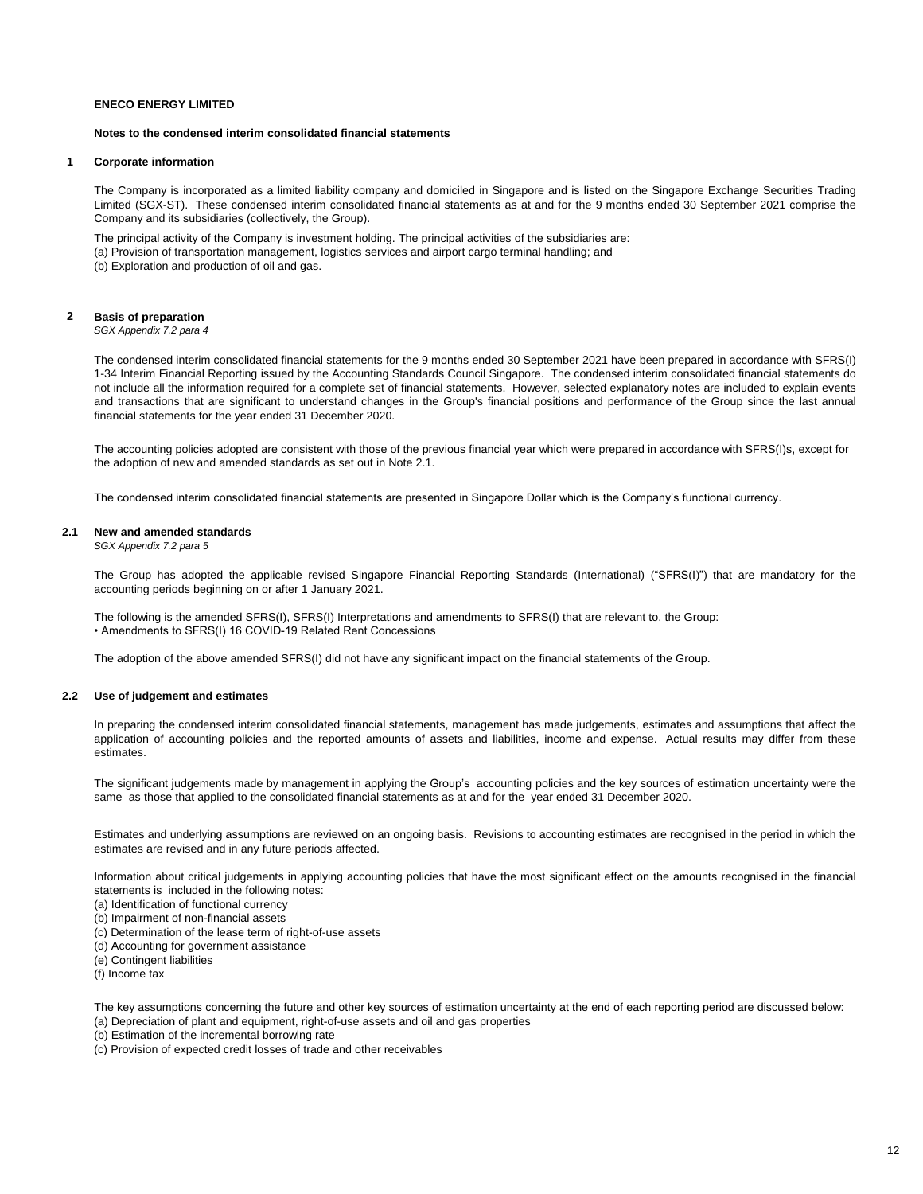### **Notes to the condensed interim consolidated financial statements**

### **1 Corporate information**

The Company is incorporated as a limited liability company and domiciled in Singapore and is listed on the Singapore Exchange Securities Trading Limited (SGX-ST). These condensed interim consolidated financial statements as at and for the 9 months ended 30 September 2021 comprise the Company and its subsidiaries (collectively, the Group).

The principal activity of the Company is investment holding. The principal activities of the subsidiaries are: (a) Provision of transportation management, logistics services and airport cargo terminal handling; and (b) Exploration and production of oil and gas.

#### **2 Basis of preparation**

*SGX Appendix 7.2 para 4*

The condensed interim consolidated financial statements for the 9 months ended 30 September 2021 have been prepared in accordance with SFRS(I) 1-34 Interim Financial Reporting issued by the Accounting Standards Council Singapore. The condensed interim consolidated financial statements do not include all the information required for a complete set of financial statements. However, selected explanatory notes are included to explain events and transactions that are significant to understand changes in the Group's financial positions and performance of the Group since the last annual financial statements for the year ended 31 December 2020.

The accounting policies adopted are consistent with those of the previous financial year which were prepared in accordance with SFRS(I)s, except for the adoption of new and amended standards as set out in Note 2.1.

The condensed interim consolidated financial statements are presented in Singapore Dollar which is the Company's functional currency.

### **2.1 New and amended standards**

*SGX Appendix 7.2 para 5*

The Group has adopted the applicable revised Singapore Financial Reporting Standards (International) ("SFRS(I)") that are mandatory for the accounting periods beginning on or after 1 January 2021.

The following is the amended SFRS(I), SFRS(I) Interpretations and amendments to SFRS(I) that are relevant to, the Group: • Amendments to SFRS(I) 16 COVID-19 Related Rent Concessions

The adoption of the above amended SFRS(I) did not have any significant impact on the financial statements of the Group.

### **2.2 Use of judgement and estimates**

In preparing the condensed interim consolidated financial statements, management has made judgements, estimates and assumptions that affect the application of accounting policies and the reported amounts of assets and liabilities, income and expense. Actual results may differ from these estimates.

The significant judgements made by management in applying the Group's accounting policies and the key sources of estimation uncertainty were the same as those that applied to the consolidated financial statements as at and for the year ended 31 December 2020.

Estimates and underlying assumptions are reviewed on an ongoing basis. Revisions to accounting estimates are recognised in the period in which the estimates are revised and in any future periods affected.

Information about critical judgements in applying accounting policies that have the most significant effect on the amounts recognised in the financial statements is included in the following notes:

(a) Identification of functional currency

- (b) Impairment of non-financial assets
- (c) Determination of the lease term of right-of-use assets
- (d) Accounting for government assistance

(e) Contingent liabilities

(f) Income tax

The key assumptions concerning the future and other key sources of estimation uncertainty at the end of each reporting period are discussed below: (a) Depreciation of plant and equipment, right-of-use assets and oil and gas properties

(b) Estimation of the incremental borrowing rate

(c) Provision of expected credit losses of trade and other receivables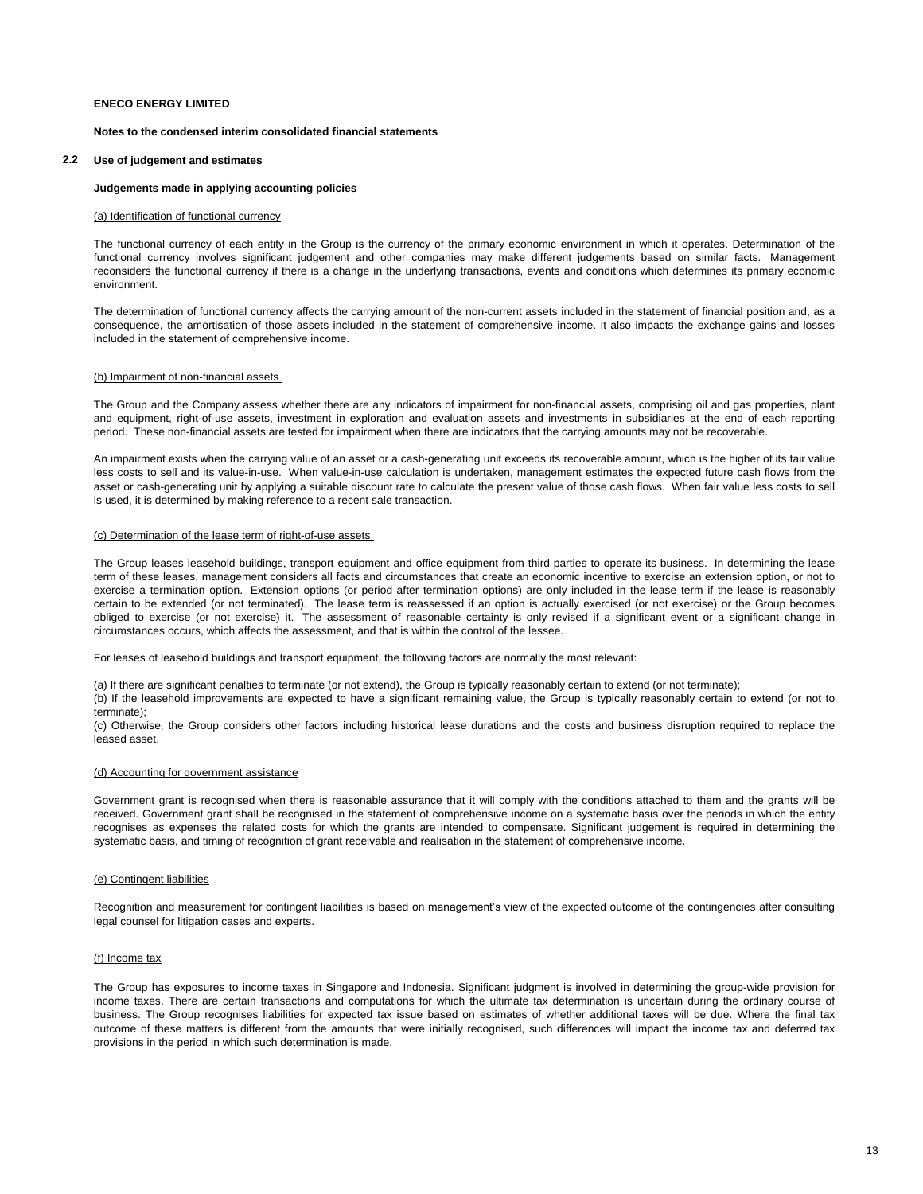### **Notes to the condensed interim consolidated financial statements**

### **2.2 Use of judgement and estimates**

### **Judgements made in applying accounting policies**

### (a) Identification of functional currency

The functional currency of each entity in the Group is the currency of the primary economic environment in which it operates. Determination of the functional currency involves significant judgement and other companies may make different judgements based on similar facts. Management reconsiders the functional currency if there is a change in the underlying transactions, events and conditions which determines its primary economic environment.

The determination of functional currency affects the carrying amount of the non-current assets included in the statement of financial position and, as a consequence, the amortisation of those assets included in the statement of comprehensive income. It also impacts the exchange gains and losses included in the statement of comprehensive income.

#### (b) Impairment of non-financial assets

The Group and the Company assess whether there are any indicators of impairment for non-financial assets, comprising oil and gas properties, plant and equipment, right-of-use assets, investment in exploration and evaluation assets and investments in subsidiaries at the end of each reporting period. These non-financial assets are tested for impairment when there are indicators that the carrying amounts may not be recoverable.

An impairment exists when the carrying value of an asset or a cash-generating unit exceeds its recoverable amount, which is the higher of its fair value less costs to sell and its value-in-use. When value-in-use calculation is undertaken, management estimates the expected future cash flows from the asset or cash-generating unit by applying a suitable discount rate to calculate the present value of those cash flows. When fair value less costs to sell is used, it is determined by making reference to a recent sale transaction.

#### (c) Determination of the lease term of right-of-use assets

The Group leases leasehold buildings, transport equipment and office equipment from third parties to operate its business. In determining the lease term of these leases, management considers all facts and circumstances that create an economic incentive to exercise an extension option, or not to exercise a termination option. Extension options (or period after termination options) are only included in the lease term if the lease is reasonably certain to be extended (or not terminated). The lease term is reassessed if an option is actually exercised (or not exercise) or the Group becomes obliged to exercise (or not exercise) it. The assessment of reasonable certainty is only revised if a significant event or a significant change in circumstances occurs, which affects the assessment, and that is within the control of the lessee.

For leases of leasehold buildings and transport equipment, the following factors are normally the most relevant:

(a) If there are significant penalties to terminate (or not extend), the Group is typically reasonably certain to extend (or not terminate);

(b) If the leasehold improvements are expected to have a significant remaining value, the Group is typically reasonably certain to extend (or not to terminate);

(c) Otherwise, the Group considers other factors including historical lease durations and the costs and business disruption required to replace the leased asset.

### (d) Accounting for government assistance

Government grant is recognised when there is reasonable assurance that it will comply with the conditions attached to them and the grants will be received. Government grant shall be recognised in the statement of comprehensive income on a systematic basis over the periods in which the entity recognises as expenses the related costs for which the grants are intended to compensate. Significant judgement is required in determining the systematic basis, and timing of recognition of grant receivable and realisation in the statement of comprehensive income.

### (e) Contingent liabilities

Recognition and measurement for contingent liabilities is based on management's view of the expected outcome of the contingencies after consulting legal counsel for litigation cases and experts.

#### (f) Income tax

The Group has exposures to income taxes in Singapore and Indonesia. Significant judgment is involved in determining the group-wide provision for income taxes. There are certain transactions and computations for which the ultimate tax determination is uncertain during the ordinary course of business. The Group recognises liabilities for expected tax issue based on estimates of whether additional taxes will be due. Where the final tax outcome of these matters is different from the amounts that were initially recognised, such differences will impact the income tax and deferred tax provisions in the period in which such determination is made.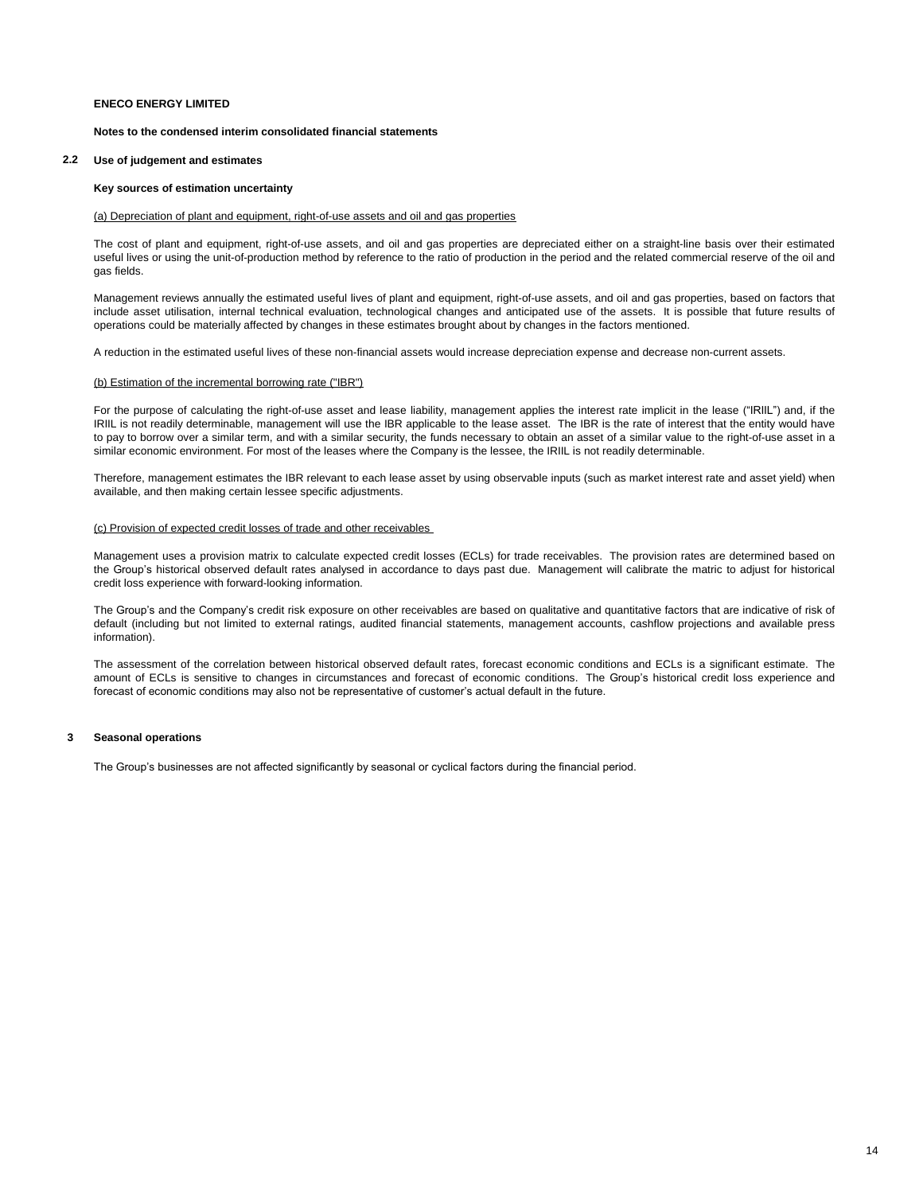### **Notes to the condensed interim consolidated financial statements**

### **2.2 Use of judgement and estimates**

### **Key sources of estimation uncertainty**

### (a) Depreciation of plant and equipment, right-of-use assets and oil and gas properties

The cost of plant and equipment, right-of-use assets, and oil and gas properties are depreciated either on a straight-line basis over their estimated useful lives or using the unit-of-production method by reference to the ratio of production in the period and the related commercial reserve of the oil and gas fields.

Management reviews annually the estimated useful lives of plant and equipment, right-of-use assets, and oil and gas properties, based on factors that include asset utilisation, internal technical evaluation, technological changes and anticipated use of the assets. It is possible that future results of operations could be materially affected by changes in these estimates brought about by changes in the factors mentioned.

A reduction in the estimated useful lives of these non-financial assets would increase depreciation expense and decrease non-current assets.

### (b) Estimation of the incremental borrowing rate ("IBR")

For the purpose of calculating the right-of-use asset and lease liability, management applies the interest rate implicit in the lease ("IRIIL") and, if the IRIIL is not readily determinable, management will use the IBR applicable to the lease asset. The IBR is the rate of interest that the entity would have to pay to borrow over a similar term, and with a similar security, the funds necessary to obtain an asset of a similar value to the right-of-use asset in a similar economic environment. For most of the leases where the Company is the lessee, the IRIIL is not readily determinable.

Therefore, management estimates the IBR relevant to each lease asset by using observable inputs (such as market interest rate and asset yield) when available, and then making certain lessee specific adjustments.

#### (c) Provision of expected credit losses of trade and other receivables

Management uses a provision matrix to calculate expected credit losses (ECLs) for trade receivables. The provision rates are determined based on the Group's historical observed default rates analysed in accordance to days past due. Management will calibrate the matric to adjust for historical credit loss experience with forward-looking information.

The Group's and the Company's credit risk exposure on other receivables are based on qualitative and quantitative factors that are indicative of risk of default (including but not limited to external ratings, audited financial statements, management accounts, cashflow projections and available press information).

The assessment of the correlation between historical observed default rates, forecast economic conditions and ECLs is a significant estimate. The amount of ECLs is sensitive to changes in circumstances and forecast of economic conditions. The Group's historical credit loss experience and forecast of economic conditions may also not be representative of customer's actual default in the future.

### **3 Seasonal operations**

The Group's businesses are not affected significantly by seasonal or cyclical factors during the financial period.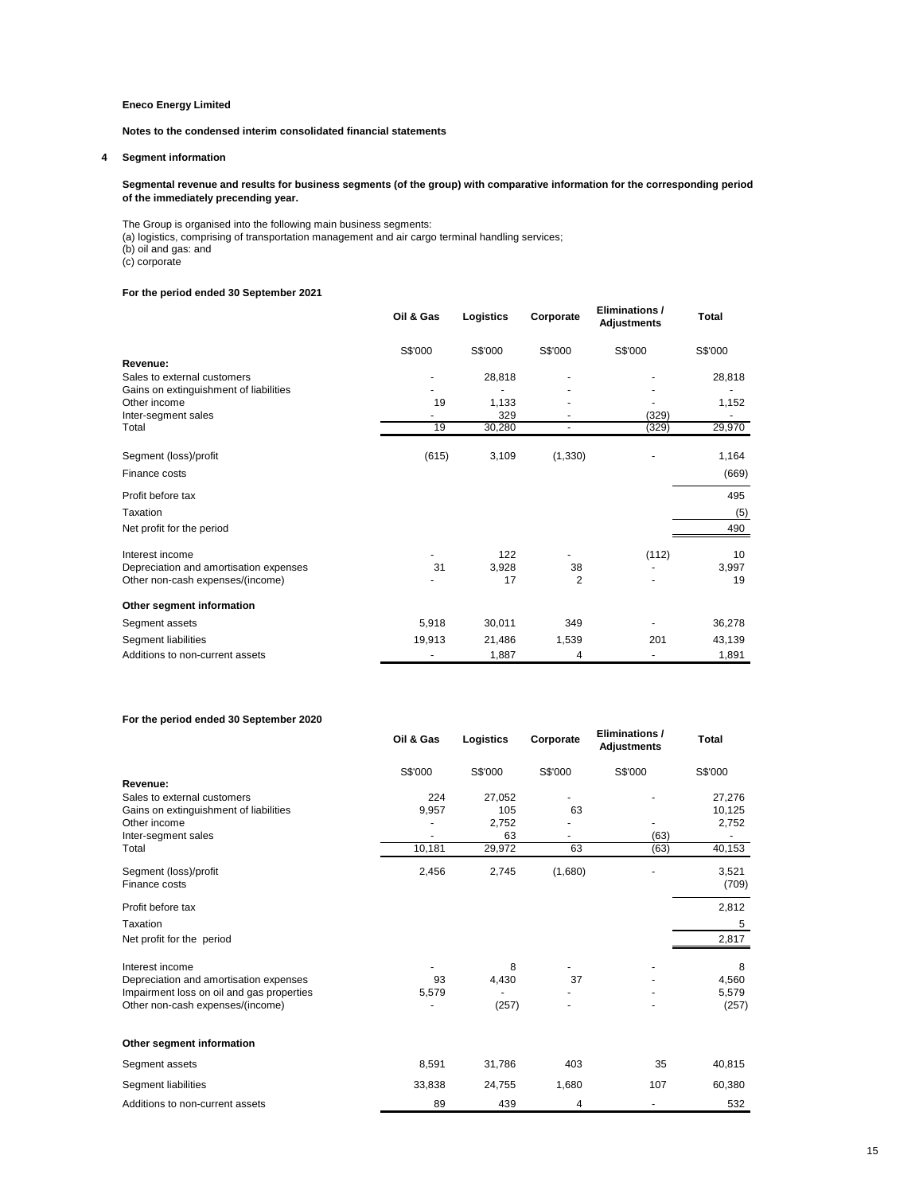**Notes to the condensed interim consolidated financial statements**

### **4 Segment information**

#### **Segmental revenue and results for business segments (of the group) with comparative information for the corresponding period of the immediately precending year.**

The Group is organised into the following main business segments:

(a) logistics, comprising of transportation management and air cargo terminal handling services;

(b) oil and gas: and

(c) corporate

### **For the period ended 30 September 2021**

|                                        | Oil & Gas | Logistics | Corporate      | Eliminations /<br><b>Adjustments</b> | <b>Total</b> |
|----------------------------------------|-----------|-----------|----------------|--------------------------------------|--------------|
|                                        | S\$'000   | S\$'000   | S\$'000        | S\$'000                              | S\$'000      |
| Revenue:                               |           |           |                |                                      |              |
| Sales to external customers            |           | 28,818    |                |                                      | 28,818       |
| Gains on extinguishment of liabilities |           |           |                |                                      |              |
| Other income                           | 19        | 1,133     |                |                                      | 1,152        |
| Inter-segment sales                    |           | 329       |                | (329)                                |              |
| Total                                  | 19        | 30,280    | ٠              | (329)                                | 29,970       |
| Segment (loss)/profit                  | (615)     | 3,109     | (1, 330)       |                                      | 1,164        |
| Finance costs                          |           |           |                |                                      | (669)        |
| Profit before tax                      |           |           |                |                                      | 495          |
| Taxation                               |           |           |                |                                      | (5)          |
| Net profit for the period              |           |           |                |                                      | 490          |
| Interest income                        |           | 122       |                | (112)                                | 10           |
| Depreciation and amortisation expenses | 31        | 3,928     | 38             |                                      | 3,997        |
| Other non-cash expenses/(income)       |           | 17        | $\overline{2}$ |                                      | 19           |
| Other segment information              |           |           |                |                                      |              |
| Segment assets                         | 5,918     | 30,011    | 349            |                                      | 36,278       |
| Segment liabilities                    | 19,913    | 21,486    | 1,539          | 201                                  | 43,139       |
| Additions to non-current assets        |           | 1,887     | 4              |                                      | 1,891        |

### **For the period ended 30 September 2020**

|                                           | Oil & Gas | Logistics | Corporate | <b>Eliminations /</b><br><b>Adiustments</b> | Total   |
|-------------------------------------------|-----------|-----------|-----------|---------------------------------------------|---------|
|                                           | S\$'000   | S\$'000   | S\$'000   | S\$'000                                     | S\$'000 |
| Revenue:                                  |           |           |           |                                             |         |
| Sales to external customers               | 224       | 27,052    |           |                                             | 27,276  |
| Gains on extinguishment of liabilities    | 9,957     | 105       | 63        |                                             | 10,125  |
| Other income                              |           | 2,752     |           |                                             | 2,752   |
| Inter-segment sales                       |           | 63        |           | (63)                                        |         |
| Total                                     | 10,181    | 29,972    | 63        | (63)                                        | 40,153  |
| Segment (loss)/profit                     | 2,456     | 2,745     | (1,680)   |                                             | 3,521   |
| Finance costs                             |           |           |           |                                             | (709)   |
| Profit before tax                         |           |           |           |                                             | 2,812   |
| Taxation                                  |           |           |           |                                             | 5       |
| Net profit for the period                 |           |           |           |                                             | 2,817   |
| Interest income                           |           | 8         |           |                                             | 8       |
| Depreciation and amortisation expenses    | 93        | 4,430     | 37        |                                             | 4,560   |
| Impairment loss on oil and gas properties | 5,579     |           |           |                                             | 5,579   |
| Other non-cash expenses/(income)          |           | (257)     |           |                                             | (257)   |
| Other segment information                 |           |           |           |                                             |         |
| Segment assets                            | 8,591     | 31,786    | 403       | 35                                          | 40,815  |
| Segment liabilities                       | 33,838    | 24,755    | 1,680     | 107                                         | 60,380  |
| Additions to non-current assets           | 89        | 439       | 4         |                                             | 532     |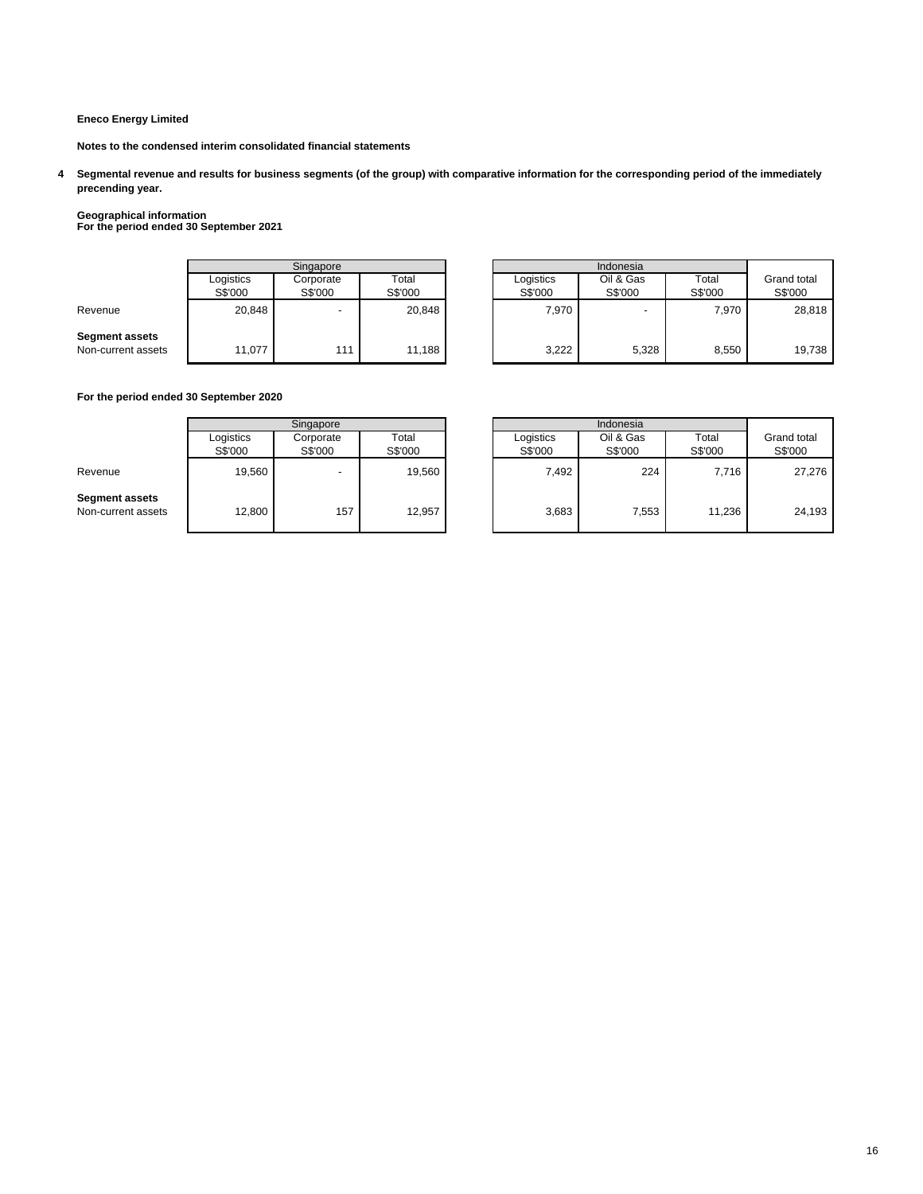**Notes to the condensed interim consolidated financial statements**

**4 Segmental revenue and results for business segments (of the group) with comparative information for the corresponding period of the immediately precending year.**

# **Geographical information For the period ended 30 September 2021**

|                                             | Singapore            |                          |                  | Indonesia            |                      |                  |                        |
|---------------------------------------------|----------------------|--------------------------|------------------|----------------------|----------------------|------------------|------------------------|
|                                             | Logistics<br>S\$'000 | Corporate<br>S\$'000     | Total<br>S\$'000 | Logistics<br>S\$'000 | Oil & Gas<br>S\$'000 | Total<br>S\$'000 | Grand total<br>S\$'000 |
| Revenue                                     | 20,848               | $\overline{\phantom{a}}$ | 20,848           | 7,970                |                      | 7,970            | 28,818                 |
| <b>Segment assets</b><br>Non-current assets | 11,077               | 11'                      | 11,188           | 3,222                | 5,328                | 8,550            | 19,738                 |

| Singapore            |                      |                  |                      | Indonesia            |                  |                        |
|----------------------|----------------------|------------------|----------------------|----------------------|------------------|------------------------|
| Logistics<br>S\$'000 | Corporate<br>S\$'000 | Total<br>S\$'000 | Logistics<br>S\$'000 | Oil & Gas<br>S\$'000 | Total<br>S\$'000 | Grand total<br>S\$'000 |
| 20,848               | ۰                    | 20,848           | 7.970                |                      | 7.970            | 28,818                 |
| 11,077               | 111                  | 11,188           | 3,222                | 5,328                | 8,550            | 19,738                 |

### **For the period ended 30 September 2020**

|                                             | Singapore            |                          |                  | Indonesia            |                      |                  |                        |
|---------------------------------------------|----------------------|--------------------------|------------------|----------------------|----------------------|------------------|------------------------|
|                                             | Logistics<br>S\$'000 | Corporate<br>S\$'000     | Total<br>S\$'000 | Logistics<br>S\$'000 | Oil & Gas<br>S\$'000 | Total<br>S\$'000 | Grand total<br>S\$'000 |
| Revenue                                     | 19,560               | $\overline{\phantom{0}}$ | 19,560           | 7,492                | 224                  | 7.716            | 27,276                 |
| <b>Segment assets</b><br>Non-current assets | 12,800               | 157                      | 12,957           | 3,683                | 7,553                | 11,236           | 24,193                 |

|                      | Singapore            |                  |                      |                      |                  |                        |
|----------------------|----------------------|------------------|----------------------|----------------------|------------------|------------------------|
| Logistics<br>S\$'000 | Corporate<br>S\$'000 | Total<br>S\$'000 | Logistics<br>S\$'000 | Oil & Gas<br>S\$'000 | Total<br>S\$'000 | Grand total<br>S\$'000 |
| 19,560               | ۰                    | 19,560           | 7,492                | 224                  | 7,716            | 27,276                 |
| 12,800               | 157                  | 12,957           | 3,683                | 7,553                | 11,236           | 24,193                 |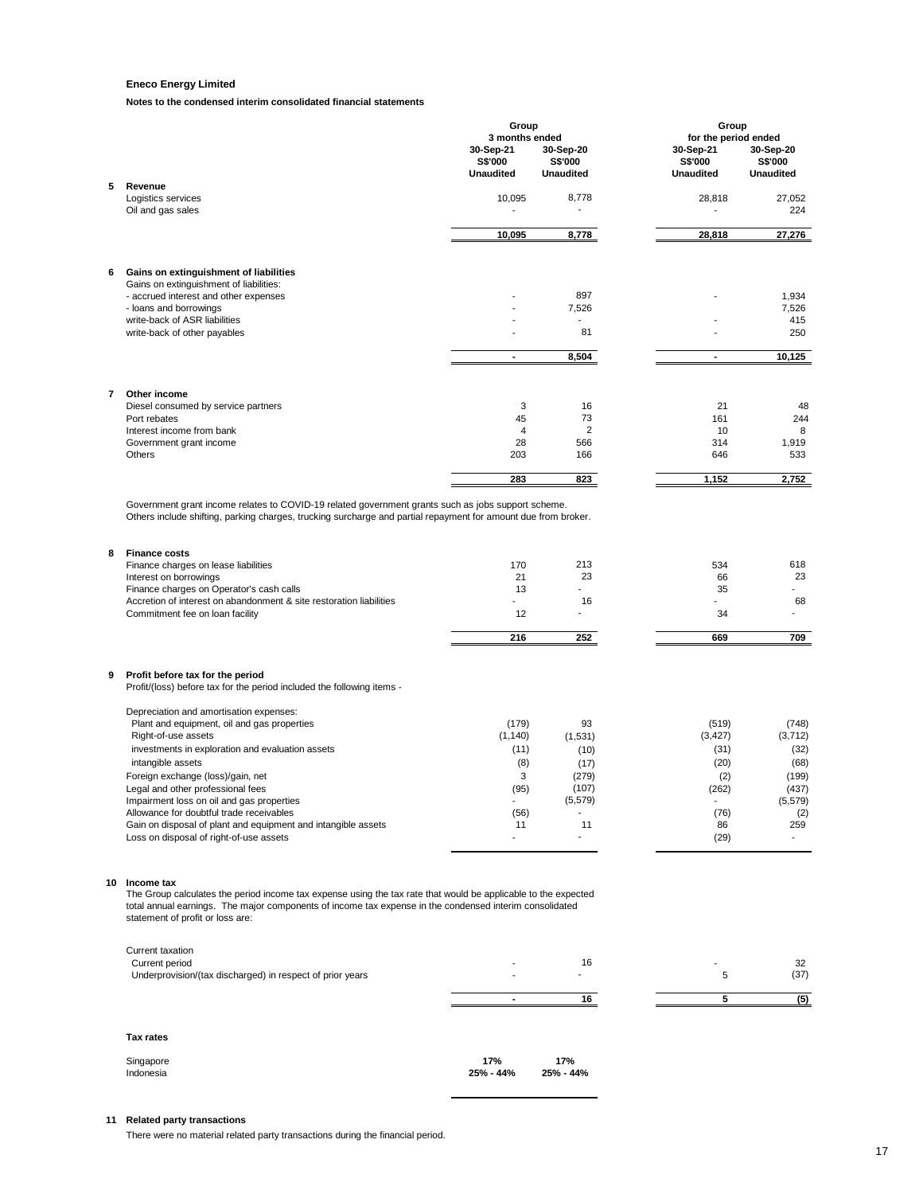**Notes to the condensed interim consolidated financial statements**

|   |                                                                                                                                                                                                                                                                                                                             | Group<br>3 months ended                     |                                          | Group<br>for the period ended            |                                          |
|---|-----------------------------------------------------------------------------------------------------------------------------------------------------------------------------------------------------------------------------------------------------------------------------------------------------------------------------|---------------------------------------------|------------------------------------------|------------------------------------------|------------------------------------------|
|   |                                                                                                                                                                                                                                                                                                                             | 30-Sep-21<br>S\$'000<br><b>Unaudited</b>    | 30-Sep-20<br>S\$'000<br><b>Unaudited</b> | 30-Sep-21<br>S\$'000<br><b>Unaudited</b> | 30-Sep-20<br>S\$'000<br><b>Unaudited</b> |
| 5 | Revenue                                                                                                                                                                                                                                                                                                                     |                                             |                                          |                                          |                                          |
|   | Logistics services<br>Oil and gas sales                                                                                                                                                                                                                                                                                     | 10,095<br>٠                                 | 8,778                                    | 28,818                                   | 27,052<br>224                            |
|   |                                                                                                                                                                                                                                                                                                                             | 10,095                                      | 8,778                                    | 28,818                                   | 27,276                                   |
| 6 | Gains on extinguishment of liabilities                                                                                                                                                                                                                                                                                      |                                             |                                          |                                          |                                          |
|   | Gains on extinguishment of liabilities:<br>- accrued interest and other expenses                                                                                                                                                                                                                                            |                                             | 897                                      |                                          | 1,934                                    |
|   | - loans and borrowings                                                                                                                                                                                                                                                                                                      |                                             | 7,526                                    |                                          | 7,526                                    |
|   | write-back of ASR liabilities                                                                                                                                                                                                                                                                                               | ÷.                                          | $\overline{\phantom{a}}$                 |                                          | 415                                      |
|   | write-back of other payables                                                                                                                                                                                                                                                                                                |                                             | 81                                       |                                          | 250                                      |
|   |                                                                                                                                                                                                                                                                                                                             | $\blacksquare$                              | 8,504                                    | $\blacksquare$                           | 10,125                                   |
| 7 | Other income                                                                                                                                                                                                                                                                                                                |                                             |                                          |                                          |                                          |
|   | Diesel consumed by service partners<br>Port rebates                                                                                                                                                                                                                                                                         | 3<br>45                                     | 16<br>73                                 | 21<br>161                                | 48<br>244                                |
|   | Interest income from bank                                                                                                                                                                                                                                                                                                   | 4                                           | 2                                        | 10                                       | 8                                        |
|   | Government grant income<br>Others                                                                                                                                                                                                                                                                                           | 28<br>203                                   | 566<br>166                               | 314<br>646                               | 1,919                                    |
|   |                                                                                                                                                                                                                                                                                                                             |                                             |                                          |                                          | 533                                      |
|   |                                                                                                                                                                                                                                                                                                                             | 283                                         | 823                                      | 1,152                                    | 2,752                                    |
| 8 | Others include shifting, parking charges, trucking surcharge and partial repayment for amount due from broker.<br><b>Finance costs</b><br>Finance charges on lease liabilities<br>Interest on borrowings<br>Finance charges on Operator's cash calls<br>Accretion of interest on abandonment & site restoration liabilities | 170<br>21<br>13<br>$\overline{\phantom{0}}$ | 213<br>23<br>16                          | 534<br>66<br>35                          | 618<br>23<br>68                          |
|   | Commitment fee on loan facility                                                                                                                                                                                                                                                                                             | 12                                          | $\blacksquare$                           | 34                                       |                                          |
|   |                                                                                                                                                                                                                                                                                                                             | 216                                         | 252                                      | 669                                      | 709                                      |
| 9 | Profit before tax for the period<br>Profit/(loss) before tax for the period included the following items -                                                                                                                                                                                                                  |                                             |                                          |                                          |                                          |
|   | Depreciation and amortisation expenses:                                                                                                                                                                                                                                                                                     |                                             |                                          |                                          |                                          |
|   | Plant and equipment, oil and gas properties<br>Right-of-use assets                                                                                                                                                                                                                                                          | (179)<br>(1, 140)                           | 93<br>(1,531)                            | (519)<br>(3, 427)                        | (748)<br>(3, 712)                        |
|   | investments in exploration and evaluation assets                                                                                                                                                                                                                                                                            | (11)                                        | (10)                                     | (31)                                     | (32)                                     |
|   | intangible assets                                                                                                                                                                                                                                                                                                           | (8)                                         | (17)                                     | (20)                                     | (68)                                     |
|   | Foreign exchange (loss)/gain, net                                                                                                                                                                                                                                                                                           | 3                                           | (279)                                    | (2)                                      | (199)                                    |
|   | Legal and other professional fees<br>Impairment loss on oil and gas properties                                                                                                                                                                                                                                              | (95)<br>$\overline{a}$                      | (107)<br>(5, 579)                        | (262)<br>$\overline{a}$                  | (437)<br>(5, 579)                        |
|   | Allowance for doubtful trade receivables                                                                                                                                                                                                                                                                                    | (56)                                        |                                          | (76)                                     | (2)                                      |
|   | Gain on disposal of plant and equipment and intangible assets<br>Loss on disposal of right-of-use assets                                                                                                                                                                                                                    | 11                                          | 11                                       | 86<br>(29)                               | 259                                      |
|   | 10 Income tax<br>The Group calculates the period income tax expense using the tax rate that would be applicable to the expected<br>total annual earnings. The major components of income tax expense in the condensed interim consolidated<br>statement of profit or loss are:                                              |                                             |                                          |                                          |                                          |
|   | Current taxation                                                                                                                                                                                                                                                                                                            |                                             |                                          |                                          |                                          |
|   | Current period<br>Underprovision/(tax discharged) in respect of prior years                                                                                                                                                                                                                                                 |                                             | 16                                       | 5                                        | 32<br>(37)                               |
|   |                                                                                                                                                                                                                                                                                                                             |                                             |                                          |                                          |                                          |
|   |                                                                                                                                                                                                                                                                                                                             | $\blacksquare$                              | 16                                       | 5                                        | (5)                                      |
|   |                                                                                                                                                                                                                                                                                                                             |                                             |                                          |                                          |                                          |
|   | <b>Tax rates</b>                                                                                                                                                                                                                                                                                                            |                                             |                                          |                                          |                                          |

| Singapore | 17%       | 17%       |
|-----------|-----------|-----------|
| Indonesia | 25% - 44% | 25% - 44% |

### **11 Related party transactions**

There were no material related party transactions during the financial period.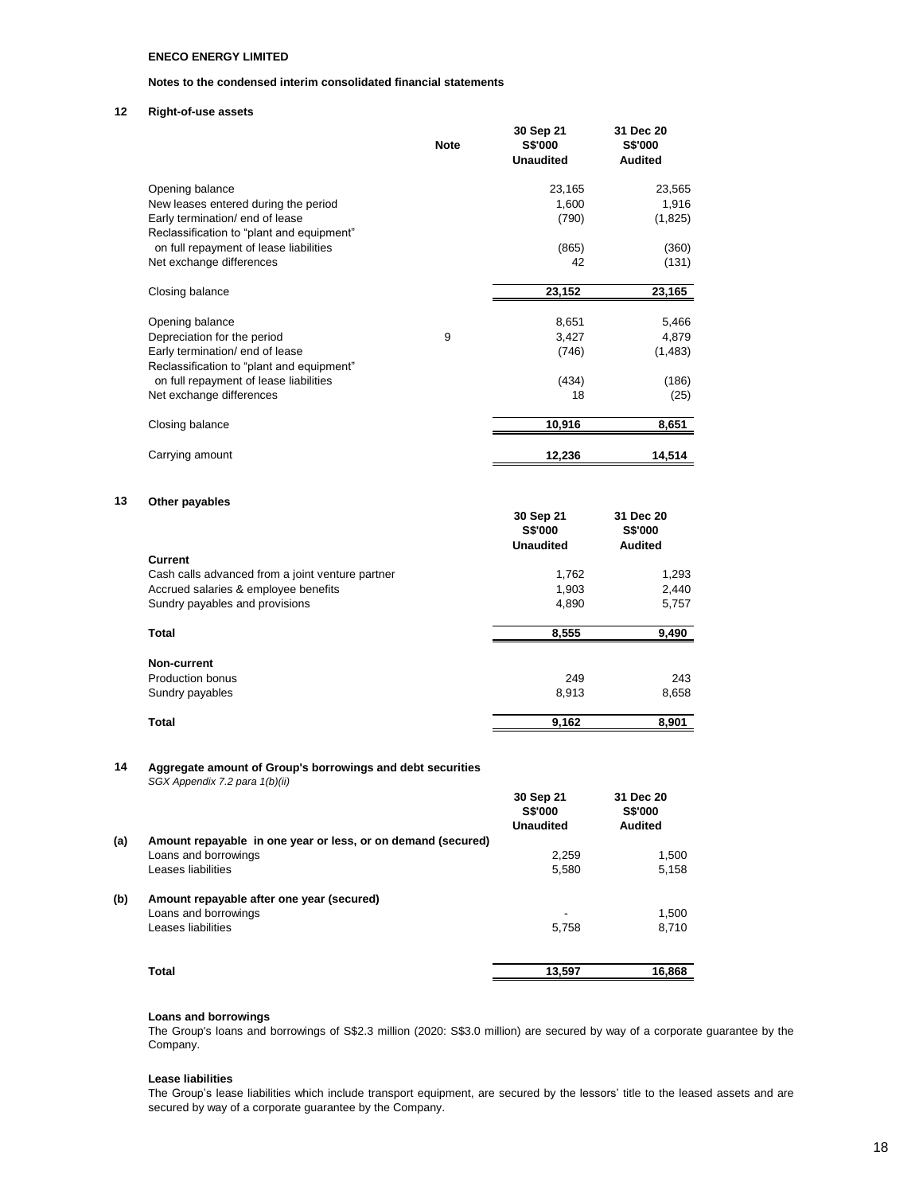### **Notes to the condensed interim consolidated financial statements**

### **12 Right-of-use assets**

|                                                                              | <b>Note</b> | 30 Sep 21<br><b>S\$'000</b><br><b>Unaudited</b> | 31 Dec 20<br><b>S\$'000</b><br><b>Audited</b> |
|------------------------------------------------------------------------------|-------------|-------------------------------------------------|-----------------------------------------------|
| Opening balance                                                              |             | 23,165                                          | 23,565                                        |
| New leases entered during the period                                         |             | 1,600                                           | 1,916                                         |
| Early termination/ end of lease<br>Reclassification to "plant and equipment" |             | (790)                                           | (1,825)                                       |
| on full repayment of lease liabilities                                       |             | (865)                                           | (360)                                         |
| Net exchange differences                                                     |             | 42                                              | (131)                                         |
| Closing balance                                                              |             | 23,152                                          | 23,165                                        |
| Opening balance                                                              |             | 8,651                                           | 5,466                                         |
| Depreciation for the period                                                  | 9           | 3,427                                           | 4,879                                         |
| Early termination/ end of lease<br>Reclassification to "plant and equipment" |             | (746)                                           | (1,483)                                       |
| on full repayment of lease liabilities                                       |             | (434)                                           | (186)                                         |
| Net exchange differences                                                     |             | 18                                              | (25)                                          |
| Closing balance                                                              |             | 10,916                                          | 8,651                                         |
| Carrying amount                                                              |             | 12,236                                          | 14,514                                        |

### **13 Other payables**

|                                                  | 30 Sep 21<br><b>S\$'000</b><br><b>Unaudited</b> | 31 Dec 20<br><b>S\$'000</b><br><b>Audited</b> |
|--------------------------------------------------|-------------------------------------------------|-----------------------------------------------|
| <b>Current</b>                                   |                                                 |                                               |
| Cash calls advanced from a joint venture partner | 1,762                                           | 1,293                                         |
| Accrued salaries & employee benefits             | 1,903                                           | 2,440                                         |
| Sundry payables and provisions                   | 4,890                                           | 5,757                                         |
| Total                                            | 8,555                                           | 9,490                                         |
| Non-current                                      |                                                 |                                               |
| <b>Production bonus</b>                          | 249                                             | 243                                           |
| Sundry payables                                  | 8,913                                           | 8,658                                         |
| <b>Total</b>                                     | 9,162                                           | 8,901                                         |

### **14 Aggregate amount of Group's borrowings and debt securities**  *SGX Appendix 7.2 para 1(b)(ii)*

|     |                                                              | 30 Sep 21<br><b>S\$'000</b><br><b>Unaudited</b> | 31 Dec 20<br><b>S\$'000</b><br>Audited |
|-----|--------------------------------------------------------------|-------------------------------------------------|----------------------------------------|
| (a) | Amount repayable in one year or less, or on demand (secured) |                                                 |                                        |
|     | Loans and borrowings                                         | 2,259                                           | 1,500                                  |
|     | Leases liabilities                                           | 5,580                                           | 5,158                                  |
| (b) | Amount repayable after one year (secured)                    |                                                 |                                        |
|     | Loans and borrowings                                         | -                                               | 1.500                                  |
|     | Leases liabilities                                           | 5,758                                           | 8,710                                  |
|     | Total                                                        | 13,597                                          | 16,868                                 |

### **Loans and borrowings**

The Group's loans and borrowings of S\$2.3 million (2020: S\$3.0 million) are secured by way of a corporate guarantee by the Company.

### **Lease liabilities**

The Group's lease liabilities which include transport equipment, are secured by the lessors' title to the leased assets and are secured by way of a corporate guarantee by the Company.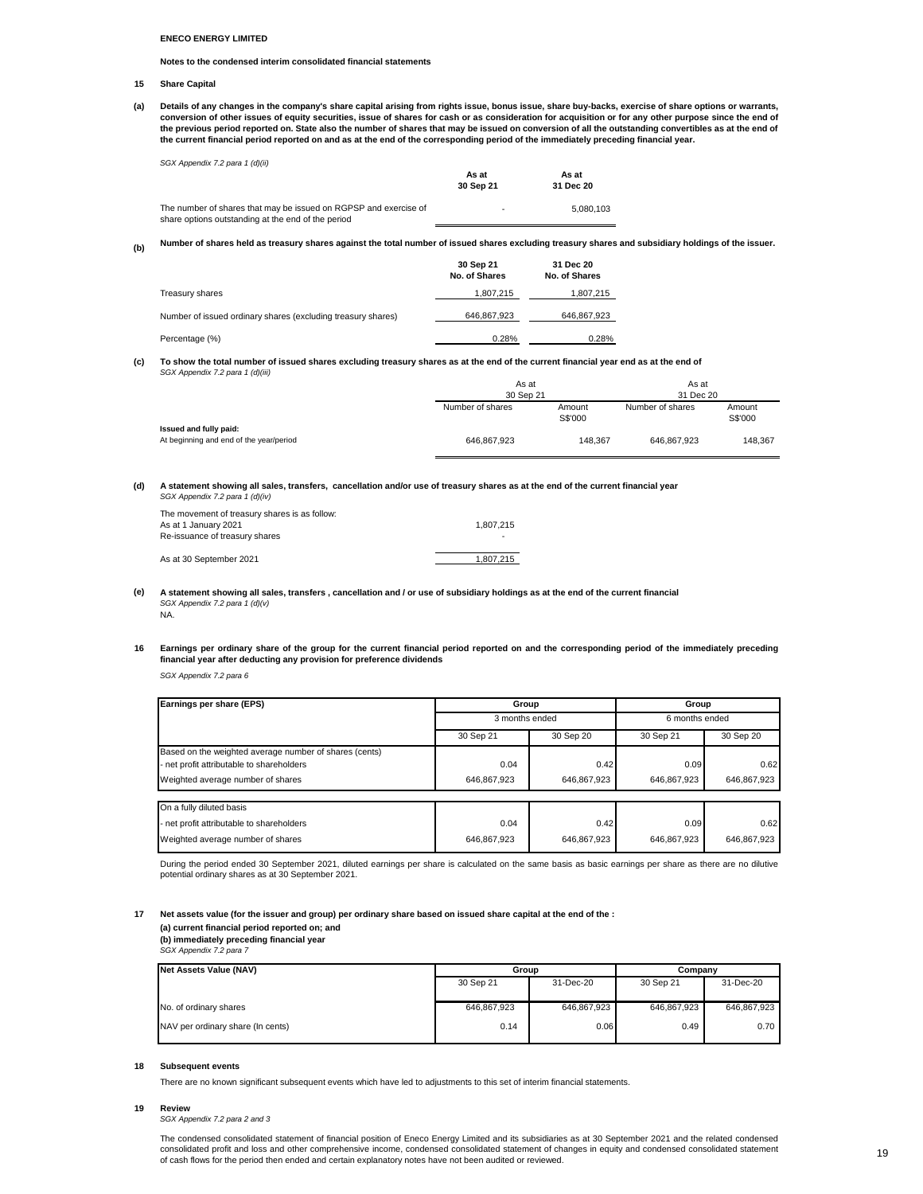#### **Notes to the condensed interim consolidated financial statements**

#### **15 Share Capital**

**(a)** Details of any changes in the company's share capital arising from rights issue, bonus issue, share buy-backs, exercise of share options or warrants, conversion of other issues of equity securities, issue of shares for cash or as consideration for acquisition or for any other purpose since the end of<br>the previous period reported on. State also the number of shares that **the current financial period reported on and as at the end of the corresponding period of the immediately preceding financial year.**

*SGX Appendix 7.2 para 1 (d)(ii)*

|                                                                  | As at     | As at     |  |
|------------------------------------------------------------------|-----------|-----------|--|
|                                                                  | 30 Sep 21 | 31 Dec 20 |  |
| The number of shares that may be issued on RGPSP and exercise of | $\sim$    | 5.080.103 |  |
| share options outstanding at the end of the period               |           |           |  |

**(b) Number of shares held as treasury shares against the total number of issued shares excluding treasury shares and subsidiary holdings of the issuer.**

|                                                              | 30 Sep 21<br>No. of Shares | 31 Dec 20<br>No. of Shares |
|--------------------------------------------------------------|----------------------------|----------------------------|
| Treasury shares                                              | 1.807.215                  | 1,807,215                  |
| Number of issued ordinary shares (excluding treasury shares) | 646,867,923                | 646,867,923                |
| Percentage (%)                                               | 0.28%                      | 0.28%                      |

**(c)** *SGX Appendix 7.2 para 1 (d)(iii)* **To show the total number of issued shares excluding treasury shares as at the end of the current financial year end as at the end of** 

|                                                                   | As at            |                   | As at            |                   |
|-------------------------------------------------------------------|------------------|-------------------|------------------|-------------------|
|                                                                   | 30 Sep 21        |                   | 31 Dec 20        |                   |
|                                                                   | Number of shares | Amount<br>S\$'000 | Number of shares | Amount<br>S\$'000 |
| Issued and fully paid:<br>At beginning and end of the year/period | 646.867.923      | 148.367           | 646.867.923      | 148.367           |

#### **(d)** *SGX Appendix 7.2 para 1 (d)(iv)* **A statement showing all sales, transfers, cancellation and/or use of treasury shares as at the end of the current financial year**

| The movement of treasury shares is as follow: |           |
|-----------------------------------------------|-----------|
| As at 1 January 2021                          | 1.807.215 |
| Re-issuance of treasury shares                | -         |
| As at 30 September 2021                       | 1.807.215 |

**(e)** *SGX Appendix 7.2 para 1 (d)(v)* NA. **A statement showing all sales, transfers , cancellation and / or use of subsidiary holdings as at the end of the current financial** 

#### 16 Earnings per ordinary share of the group for the current financial period reported on and the corresponding period of the immediately preceding **financial year after deducting any provision for preference dividends**

*SGX Appendix 7.2 para 6*

| Earnings per share (EPS)                               | Group          |             | Group          |             |
|--------------------------------------------------------|----------------|-------------|----------------|-------------|
|                                                        | 3 months ended |             | 6 months ended |             |
|                                                        | 30 Sep 21      | 30 Sep 20   | 30 Sep 21      | 30 Sep 20   |
| Based on the weighted average number of shares (cents) |                |             |                |             |
| - net profit attributable to shareholders              | 0.04           | 0.42        | 0.09           | 0.62        |
| Weighted average number of shares                      | 646.867.923    | 646.867.923 | 646.867.923    | 646.867.923 |
| On a fully diluted basis                               |                |             |                |             |
| - net profit attributable to shareholders              | 0.04           | 0.42        | 0.09           | 0.62        |
| Weighted average number of shares                      | 646.867.923    | 646.867.923 | 646,867,923    | 646,867,923 |

During the period ended 30 September 2021, diluted earnings per share is calculated on the same basis as basic earnings per share as there are no dilutive potential ordinary shares as at 30 September 2021.

#### **17 Net assets value (for the issuer and group) per ordinary share based on issued share capital at the end of the : (a) current financial period reported on; and**

**(b) immediately preceding financial year** 

*SGX Appendix 7.2 para 7*

| <b>Net Assets Value (NAV)</b>     | Group       |             | Company     |             |
|-----------------------------------|-------------|-------------|-------------|-------------|
|                                   | 30 Sep 21   | 31-Dec-20   | 30 Sep 21   | 31-Dec-20   |
| No. of ordinary shares            | 646,867,923 | 646,867,923 | 646,867,923 | 646,867,923 |
| NAV per ordinary share (In cents) | 0.14        | 0.06        | 0.49        | 0.70        |

#### **18 Subsequent events**

There are no known significant subsequent events which have led to adjustments to this set of interim financial statements.

#### **19 Review**

*SGX Appendix 7.2 para 2 and 3*

The condensed consolidated statement of financial position of Eneco Energy Limited and its subsidiaries as at 30 September 2021 and the related condensed consolidated profit and loss and other comprehensive income, condensed consolidated statement of changes in equity and condensed consolidated statement of cash flows for the period then ended and certain explanatory notes have not been audited or reviewed.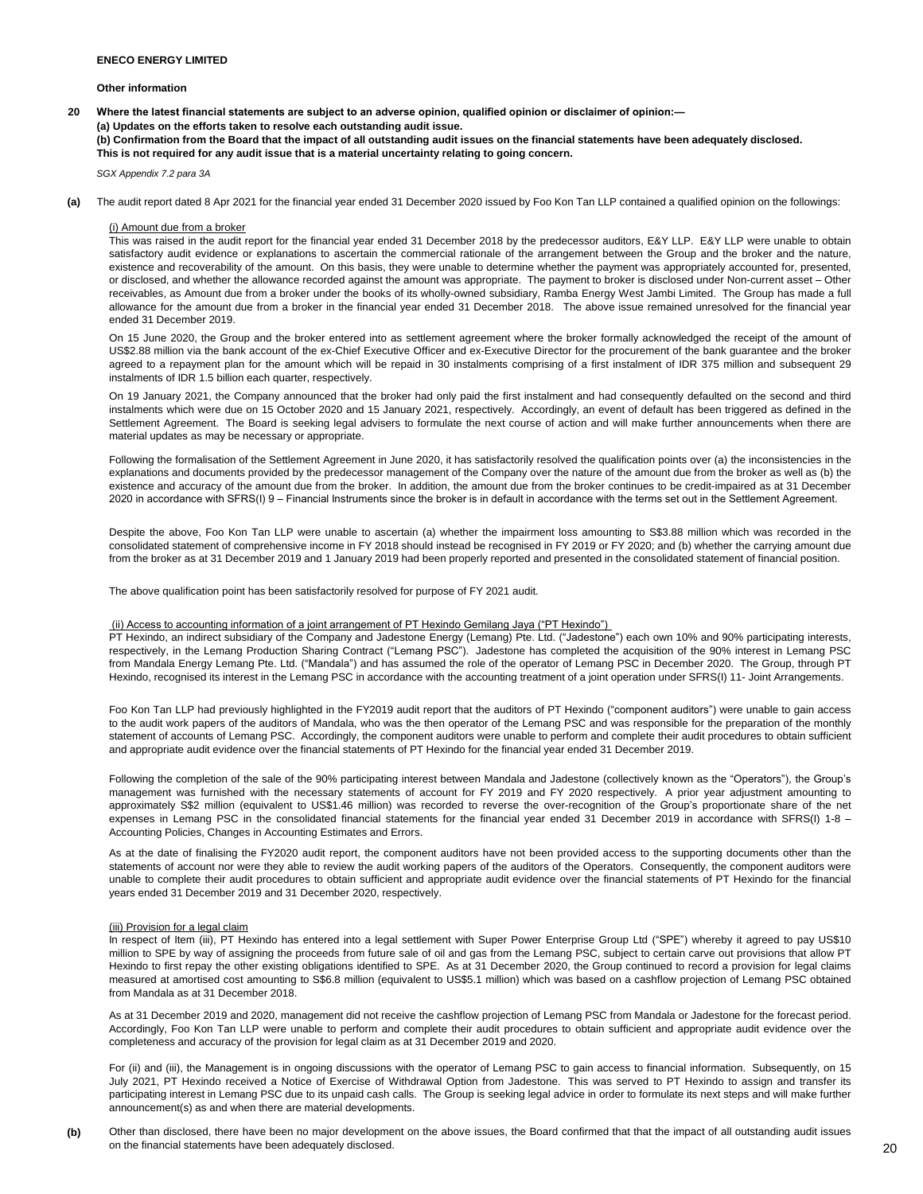**Other information**

**20 Where the latest financial statements are subject to an adverse opinion, qualified opinion or disclaimer of opinion:— (a) Updates on the efforts taken to resolve each outstanding audit issue. (b) Confirmation from the Board that the impact of all outstanding audit issues on the financial statements have been adequately disclosed. This is not required for any audit issue that is a material uncertainty relating to going concern.**

*SGX Appendix 7.2 para 3A*

**(a)** The audit report dated 8 Apr 2021 for the financial year ended 31 December 2020 issued by Foo Kon Tan LLP contained a qualified opinion on the followings:

#### (i) Amount due from a broker

This was raised in the audit report for the financial year ended 31 December 2018 by the predecessor auditors, E&Y LLP. E&Y LLP were unable to obtain satisfactory audit evidence or explanations to ascertain the commercial rationale of the arrangement between the Group and the broker and the nature, existence and recoverability of the amount. On this basis, they were unable to determine whether the payment was appropriately accounted for, presented, or disclosed, and whether the allowance recorded against the amount was appropriate. The payment to broker is disclosed under Non-current asset – Other receivables, as Amount due from a broker under the books of its wholly-owned subsidiary, Ramba Energy West Jambi Limited. The Group has made a full allowance for the amount due from a broker in the financial year ended 31 December 2018. The above issue remained unresolved for the financial year ended 31 December 2019.

On 15 June 2020, the Group and the broker entered into as settlement agreement where the broker formally acknowledged the receipt of the amount of US\$2.88 million via the bank account of the ex-Chief Executive Officer and ex-Executive Director for the procurement of the bank guarantee and the broker agreed to a repayment plan for the amount which will be repaid in 30 instalments comprising of a first instalment of IDR 375 million and subsequent 29 instalments of IDR 1.5 billion each quarter, respectively.

On 19 January 2021, the Company announced that the broker had only paid the first instalment and had consequently defaulted on the second and third instalments which were due on 15 October 2020 and 15 January 2021, respectively. Accordingly, an event of default has been triggered as defined in the Settlement Agreement. The Board is seeking legal advisers to formulate the next course of action and will make further announcements when there are material updates as may be necessary or appropriate.

Following the formalisation of the Settlement Agreement in June 2020, it has satisfactorily resolved the qualification points over (a) the inconsistencies in the explanations and documents provided by the predecessor management of the Company over the nature of the amount due from the broker as well as (b) the existence and accuracy of the amount due from the broker. In addition, the amount due from the broker continues to be credit-impaired as at 31 December 2020 in accordance with SFRS(I) 9 – Financial Instruments since the broker is in default in accordance with the terms set out in the Settlement Agreement.

Despite the above, Foo Kon Tan LLP were unable to ascertain (a) whether the impairment loss amounting to S\$3.88 million which was recorded in the consolidated statement of comprehensive income in FY 2018 should instead be recognised in FY 2019 or FY 2020; and (b) whether the carrying amount due from the broker as at 31 December 2019 and 1 January 2019 had been properly reported and presented in the consolidated statement of financial position.

The above qualification point has been satisfactorily resolved for purpose of FY 2021 audit.

#### (ii) Access to accounting information of a joint arrangement of PT Hexindo Gemilang Jaya ("PT Hexindo")

PT Hexindo, an indirect subsidiary of the Company and Jadestone Energy (Lemang) Pte. Ltd. ("Jadestone") each own 10% and 90% participating interests, respectively, in the Lemang Production Sharing Contract ("Lemang PSC"). Jadestone has completed the acquisition of the 90% interest in Lemang PSC from Mandala Energy Lemang Pte. Ltd. ("Mandala") and has assumed the role of the operator of Lemang PSC in December 2020. The Group, through PT Hexindo, recognised its interest in the Lemang PSC in accordance with the accounting treatment of a joint operation under SFRS(I) 11- Joint Arrangements.

Foo Kon Tan LLP had previously highlighted in the FY2019 audit report that the auditors of PT Hexindo ("component auditors") were unable to gain access to the audit work papers of the auditors of Mandala, who was the then operator of the Lemang PSC and was responsible for the preparation of the monthly statement of accounts of Lemang PSC. Accordingly, the component auditors were unable to perform and complete their audit procedures to obtain sufficient and appropriate audit evidence over the financial statements of PT Hexindo for the financial year ended 31 December 2019.

Following the completion of the sale of the 90% participating interest between Mandala and Jadestone (collectively known as the "Operators"), the Group's management was furnished with the necessary statements of account for FY 2019 and FY 2020 respectively. A prior year adjustment amounting to approximately S\$2 million (equivalent to US\$1.46 million) was recorded to reverse the over-recognition of the Group's proportionate share of the net expenses in Lemang PSC in the consolidated financial statements for the financial year ended 31 December 2019 in accordance with SFRS(I) 1-8 -Accounting Policies, Changes in Accounting Estimates and Errors.

As at the date of finalising the FY2020 audit report, the component auditors have not been provided access to the supporting documents other than the statements of account nor were they able to review the audit working papers of the auditors of the Operators. Consequently, the component auditors were unable to complete their audit procedures to obtain sufficient and appropriate audit evidence over the financial statements of PT Hexindo for the financial years ended 31 December 2019 and 31 December 2020, respectively.

### (iii) Provision for a legal claim

In respect of Item (iii), PT Hexindo has entered into a legal settlement with Super Power Enterprise Group Ltd ("SPE") whereby it agreed to pay US\$10 million to SPE by way of assigning the proceeds from future sale of oil and gas from the Lemang PSC, subject to certain carve out provisions that allow PT Hexindo to first repay the other existing obligations identified to SPE. As at 31 December 2020, the Group continued to record a provision for legal claims measured at amortised cost amounting to S\$6.8 million (equivalent to US\$5.1 million) which was based on a cashflow projection of Lemang PSC obtained from Mandala as at 31 December 2018.

As at 31 December 2019 and 2020, management did not receive the cashflow projection of Lemang PSC from Mandala or Jadestone for the forecast period. Accordingly, Foo Kon Tan LLP were unable to perform and complete their audit procedures to obtain sufficient and appropriate audit evidence over the completeness and accuracy of the provision for legal claim as at 31 December 2019 and 2020.

For (ii) and (iii), the Management is in ongoing discussions with the operator of Lemang PSC to gain access to financial information. Subsequently, on 15 July 2021, PT Hexindo received a Notice of Exercise of Withdrawal Option from Jadestone. This was served to PT Hexindo to assign and transfer its participating interest in Lemang PSC due to its unpaid cash calls. The Group is seeking legal advice in order to formulate its next steps and will make further announcement(s) as and when there are material developments.

**(b)** Other than disclosed, there have been no major development on the above issues, the Board confirmed that that the impact of all outstanding audit issues on the financial statements have been adequately disclosed.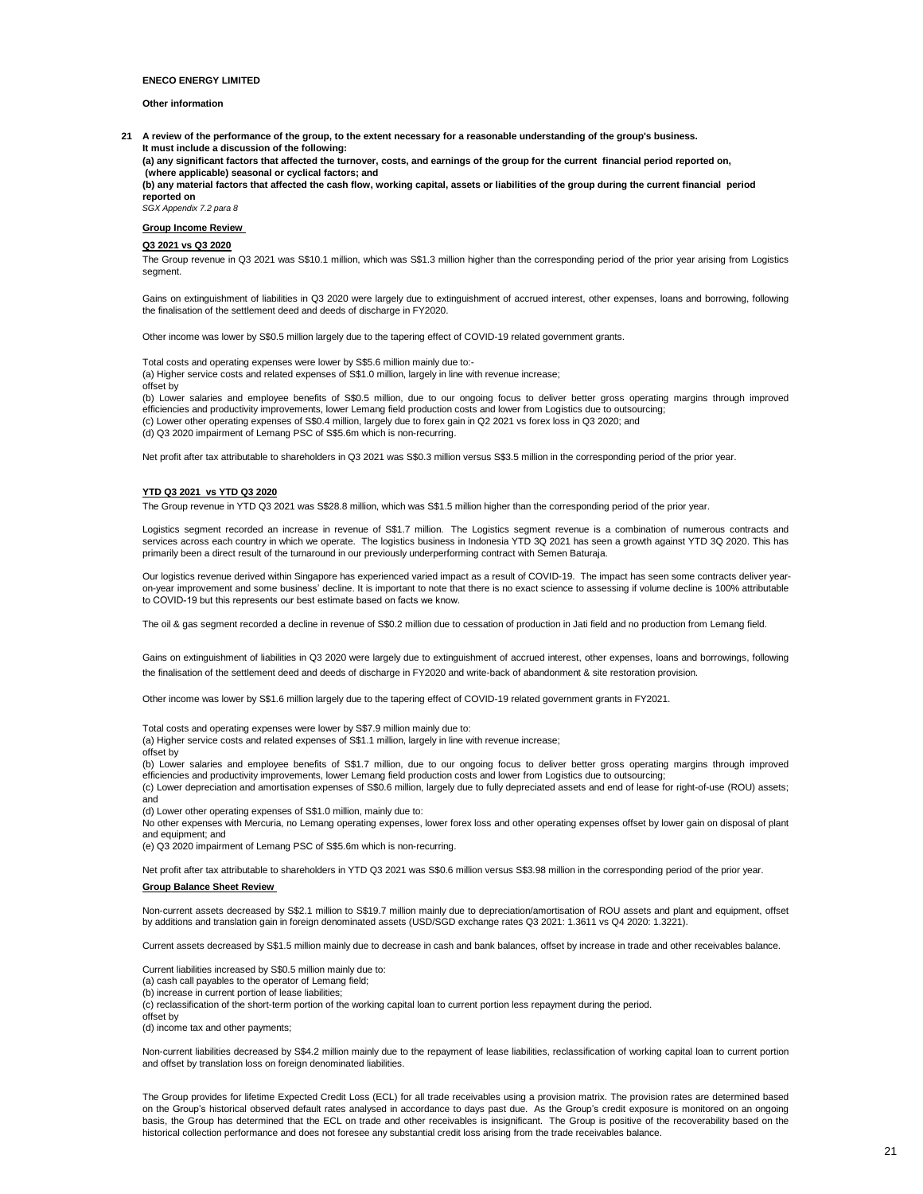#### **Other information**

**21 A review of the performance of the group, to the extent necessary for a reasonable understanding of the group's business. It must include a discussion of the following: (a) any significant factors that affected the turnover, costs, and earnings of the group for the current financial period reported on, (where applicable) seasonal or cyclical factors; and**

**(b) any material factors that affected the cash flow, working capital, assets or liabilities of the group during the current financial period reported on** 

*SGX Appendix 7.2 para 8* **Group Income Review** 

### **Q3 2021 vs Q3 2020**

The Group revenue in Q3 2021 was S\$10.1 million, which was S\$1.3 million higher than the corresponding period of the prior year arising from Logistics segment.

Gains on extinguishment of liabilities in Q3 2020 were largely due to extinguishment of accrued interest, other expenses, loans and borrowing, following the finalisation of the settlement deed and deeds of discharge in FY2020.

Other income was lower by S\$0.5 million largely due to the tapering effect of COVID-19 related government grants.

Total costs and operating expenses were lower by S\$5.6 million mainly due to:- (a) Higher service costs and related expenses of S\$1.0 million, largely in line with revenue increase; offset by

(b) Lower salaries and employee benefits of S\$0.5 million, due to our ongoing focus to deliver better gross operating margins through improved efficiencies and productivity improvements, lower Lemang field production costs and lower from Logistics due to outsourcing; (c) Lower other operating expenses of S\$0.4 million, largely due to forex gain in Q2 2021 vs forex loss in Q3 2020; and (d) Q3 2020 impairment of Lemang PSC of S\$5.6m which is non-recurring.

Net profit after tax attributable to shareholders in Q3 2021 was S\$0.3 million versus S\$3.5 million in the corresponding period of the prior year.

#### **YTD Q3 2021 vs YTD Q3 2020**

The Group revenue in YTD Q3 2021 was S\$28.8 million, which was S\$1.5 million higher than the corresponding period of the prior year.

Logistics segment recorded an increase in revenue of S\$1.7 million. The Logistics segment revenue is a combination of numerous contracts and services across each country in which we operate. The logistics business in Indonesia YTD 3Q 2021 has seen a growth against YTD 3Q 2020. This has primarily been a direct result of the turnaround in our previously underperforming contract with Semen Baturaja.

Our logistics revenue derived within Singapore has experienced varied impact as a result of COVID-19. The impact has seen some contracts deliver yearon-year improvement and some business' decline. It is important to note that there is no exact science to assessing if volume decline is 100% attributable to COVID-19 but this represents our best estimate based on facts we know.

The oil & gas segment recorded a decline in revenue of S\$0.2 million due to cessation of production in Jati field and no production from Lemang field.

Gains on extinguishment of liabilities in Q3 2020 were largely due to extinguishment of accrued interest, other expenses, loans and borrowings, following the finalisation of the settlement deed and deeds of discharge in FY2020 and write-back of abandonment & site restoration provision.

Other income was lower by S\$1.6 million largely due to the tapering effect of COVID-19 related government grants in FY2021.

Total costs and operating expenses were lower by S\$7.9 million mainly due to:

(a) Higher service costs and related expenses of S\$1.1 million, largely in line with revenue increase;

offset by

(b) Lower salaries and employee benefits of S\$1.7 million, due to our ongoing focus to deliver better gross operating margins through improved efficiencies and productivity improvements, lower Lemang field production costs and lower from Logistics due to outsourcing;

(c) Lower depreciation and amortisation expenses of S\$0.6 million, largely due to fully depreciated assets and end of lease for right-of-use (ROU) assets; and

(d) Lower other operating expenses of S\$1.0 million, mainly due to:

No other expenses with Mercuria, no Lemang operating expenses, lower forex loss and other operating expenses offset by lower gain on disposal of plant and equipment; and

(e) Q3 2020 impairment of Lemang PSC of S\$5.6m which is non-recurring.

Net profit after tax attributable to shareholders in YTD Q3 2021 was S\$0.6 million versus S\$3.98 million in the corresponding period of the prior year.

#### **Group Balance Sheet Review**

Non-current assets decreased by S\$2.1 million to S\$19.7 million mainly due to depreciation/amortisation of ROU assets and plant and equipment, offset by additions and translation gain in foreign denominated assets (USD/SGD exchange rates Q3 2021: 1.3611 vs Q4 2020: 1.3221).

Current assets decreased by S\$1.5 million mainly due to decrease in cash and bank balances, offset by increase in trade and other receivables balance.

Current liabilities increased by S\$0.5 million mainly due to:

(a) cash call payables to the operator of Lemang field; (b) increase in current portion of lease liabilities;

(c) reclassification of the short-term portion of the working capital loan to current portion less repayment during the period.

offset by (d) income tax and other payments;

Non-current liabilities decreased by S\$4.2 million mainly due to the repayment of lease liabilities, reclassification of working capital loan to current portion and offset by translation loss on foreign denominated liabilities.

The Group provides for lifetime Expected Credit Loss (ECL) for all trade receivables using a provision matrix. The provision rates are determined based on the Group's historical observed default rates analysed in accordance to days past due. As the Group's credit exposure is monitored on an ongoing basis, the Group has determined that the ECL on trade and other receivables is insignificant. The Group is positive of the recoverability based on the historical collection performance and does not foresee any substantial credit loss arising from the trade receivables balance.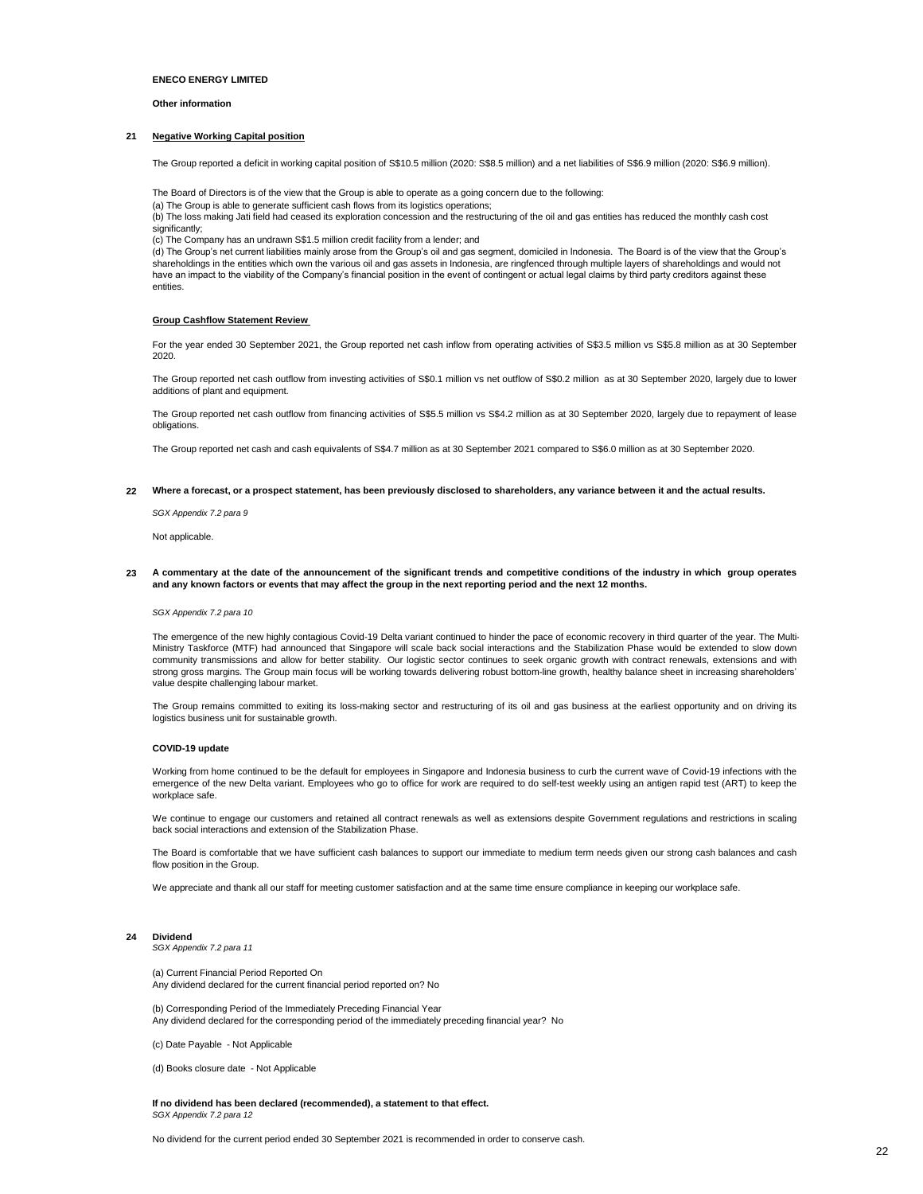#### **Other information**

#### **21 Negative Working Capital position**

The Group reported a deficit in working capital position of S\$10.5 million (2020: S\$8.5 million) and a net liabilities of S\$6.9 million (2020: S\$6.9 million).

The Board of Directors is of the view that the Group is able to operate as a going concern due to the following:

(a) The Group is able to generate sufficient cash flows from its logistics operations;

(b) The loss making Jati field had ceased its exploration concession and the restructuring of the oil and gas entities has reduced the monthly cash cost significantly:

(c) The Company has an undrawn S\$1.5 million credit facility from a lender; and

(d) The Group's net current liabilities mainly arose from the Group's oil and gas segment, domiciled in Indonesia. The Board is of the view that the Group's<br>shareholdings in the entities which own the various oil and gas have an impact to the viability of the Company's financial position in the event of contingent or actual legal claims by third party creditors against these entities.

#### **Group Cashflow Statement Review**

For the year ended 30 September 2021, the Group reported net cash inflow from operating activities of S\$3.5 million vs S\$5.8 million as at 30 September 2020.

The Group reported net cash outflow from investing activities of S\$0.1 million vs net outflow of S\$0.2 million as at 30 September 2020, largely due to lower additions of plant and equipment.

The Group reported net cash outflow from financing activities of S\$5.5 million vs S\$4.2 million as at 30 September 2020, largely due to repayment of lease obligations.

The Group reported net cash and cash equivalents of S\$4.7 million as at 30 September 2021 compared to S\$6.0 million as at 30 September 2020.

#### **22 Where a forecast, or a prospect statement, has been previously disclosed to shareholders, any variance between it and the actual results.**

*SGX Appendix 7.2 para 9*

Not applicable.

**23** A commentary at the date of the announcement of the significant trends and competitive conditions of the industry in which group operates **and any known factors or events that may affect the group in the next reporting period and the next 12 months.** 

#### *SGX Appendix 7.2 para 10*

The emergence of the new highly contagious Covid-19 Delta variant continued to hinder the pace of economic recovery in third quarter of the year. The Multi-Ministry Taskforce (MTF) had announced that Singapore will scale back social interactions and the Stabilization Phase would be extended to slow down community transmissions and allow for better stability. Our logistic sector continues to seek organic growth with contract renewals, extensions and with strong gross margins. The Group main focus will be working towards delivering robust bottom-line growth, healthy balance sheet in increasing shareholders' value despite challenging labour market.

The Group remains committed to exiting its loss-making sector and restructuring of its oil and gas business at the earliest opportunity and on driving its logistics business unit for sustainable growth.

#### **COVID-19 update**

Working from home continued to be the default for employees in Singapore and Indonesia business to curb the current wave of Covid-19 infections with the emergence of the new Delta variant. Employees who go to office for work are required to do self-test weekly using an antigen rapid test (ART) to keep the workplace safe.

We continue to engage our customers and retained all contract renewals as well as extensions despite Government regulations and restrictions in scaling back social interactions and extension of the Stabilization Phase.

The Board is comfortable that we have sufficient cash balances to support our immediate to medium term needs given our strong cash balances and cash flow position in the Group.

We appreciate and thank all our staff for meeting customer satisfaction and at the same time ensure compliance in keeping our workplace safe.

#### **24 Dividend**

*SGX Appendix 7.2 para 11*

(a) Current Financial Period Reported On Any dividend declared for the current financial period reported on? No

(b) Corresponding Period of the Immediately Preceding Financial Year Any dividend declared for the corresponding period of the immediately preceding financial year? No

(c) Date Payable - Not Applicable

(d) Books closure date - Not Applicable

**If no dividend has been declared (recommended), a statement to that effect.** *SGX Appendix 7.2 para 12*

No dividend for the current period ended 30 September 2021 is recommended in order to conserve cash.